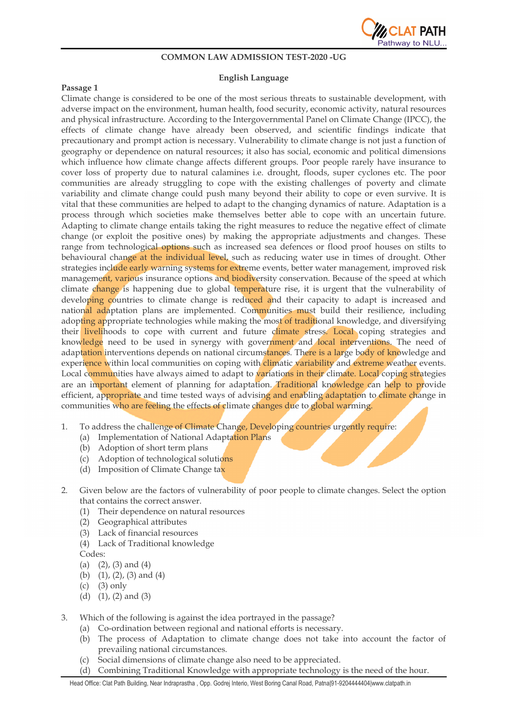#### **COMMON LAW ADMISSION TEST-2020 -UG**

#### **English Language**

#### **Passage 1**

Climate change is considered to be one of the most serious threats to sustainable development, with adverse impact on the environment, human health, food security, economic activity, natural resources and physical infrastructure. According to the Intergovernmental Panel on Climate Change (IPCC), the effects of climate change have already been observed, and scientific findings indicate that precautionary and prompt action is necessary. Vulnerability to climate change is not just a function of geography or dependence on natural resources; it also has social, economic and political dimensions which influence how climate change affects different groups. Poor people rarely have insurance to cover loss of property due to natural calamines i.e. drought, floods, super cyclones etc. The poor communities are already struggling to cope with the existing challenges of poverty and climate variability and climate change could push many beyond their ability to cope or even survive. It is vital that these communities are helped to adapt to the changing dynamics of nature. Adaptation is a process through which societies make themselves better able to cope with an uncertain future. Adapting to climate change entails taking the right measures to reduce the negative effect of climate change (or exploit the positive ones) by making the appropriate adjustments and changes. These range from technological options such as increased sea defences or flood proof houses on stilts to behavioural change at the individual level, such as reducing water use in times of drought. Other strategies include early warning systems for extreme events, better water management, improved risk management, various insurance options and biodiversity conservation. Because of the speed at which climate change is happening due to global temperature rise, it is urgent that the vulnerability of developing countries to climate change is reduced and their capacity to adapt is increased and national adaptation plans are implemented. Communities must build their resilience, including adopting appropriate technologies while making the most of traditional knowledge, and diversifying their livelihoods to cope with current and future climate stress. Local coping strategies and knowledge need to be used in synergy with government and local interventions. The need of adaptation interventions depends on national circumstances. There is a large body of knowledge and experience within local communities on coping with climatic variability and extreme weather events. Local communities have always aimed to adapt to variations in their climate. Local coping strategies are an important element of planning for adaptation. Traditional knowledge can help to provide efficient, appropriate and time tested ways of advising and enabling adaptation to climate change in communities who are feeling the effects of climate changes due to global warming.

- 1. To address the challenge of Climate Change, Developing countries urgently require:
	- (a) Implementation of National Adaptation Plans
	- (b) Adoption of short term plans
	- (c) Adoption of technological solutions
	- (d) Imposition of Climate Change tax
- 2. Given below are the factors of vulnerability of poor people to climate changes. Select the option that contains the correct answer.
	- (1) Their dependence on natural resources
	- (2) Geographical attributes
	- (3) Lack of financial resources
	- (4) Lack of Traditional knowledge
	- Codes:
	- (a) (2), (3) and (4)
	- (b) (1), (2), (3) and (4)
	- $(c)$  (3) only
	- (d) (1), (2) and (3)
- 3. Which of the following is against the idea portrayed in the passage?
	- (a) Co-ordination between regional and national efforts is necessary.
	- (b) The process of Adaptation to climate change does not take into account the factor of prevailing national circumstances.
	- (c) Social dimensions of climate change also need to be appreciated.
	- (d) Combining Traditional Knowledge with appropriate technology is the need of the hour.



Head Office: Clat Path Building, Near Indraprastha , Opp. Godrej Interio, West Boring Canal Road, Patna|91-9204444404|www.clatpath.in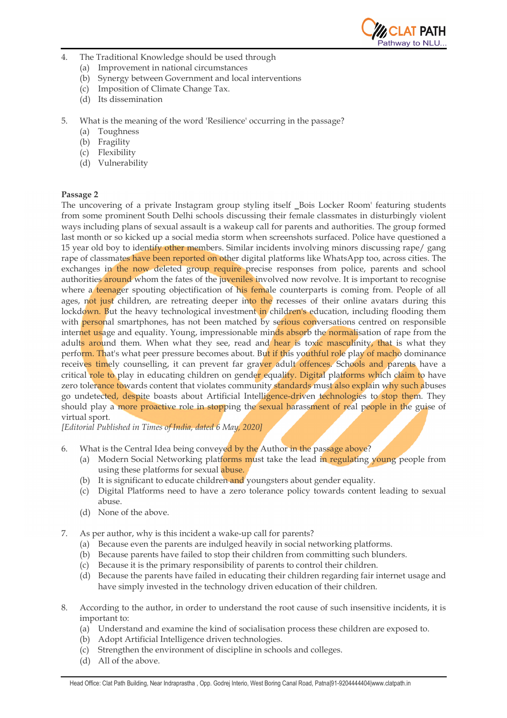

- 4. The Traditional Knowledge should be used through
	- (a) Improvement in national circumstances
	- (b) Synergy between Government and local interventions
	- (c) Imposition of Climate Change Tax.
	- (d) Its dissemination
- 5. What is the meaning of the word 'Resilience' occurring in the passage?
	- (a) Toughness
	- (b) Fragility
	- (c) Flexibility
	- (d) Vulnerability

The uncovering of a private Instagram group styling itself \_Bois Locker Room' featuring students from some prominent South Delhi schools discussing their female classmates in disturbingly violent ways including plans of sexual assault is a wakeup call for parents and authorities. The group formed last month or so kicked up a social media storm when screenshots surfaced. Police have questioned a 15 year old boy to identify other members. Similar incidents involving minors discussing rape/ gang rape of classmates have been reported on other digital platforms like WhatsApp too, across cities. The exchanges in the now deleted group require precise responses from police, parents and school authorities around whom the fates of the juveniles involved now revolve. It is important to recognise where a teenager spouting objectification of his female counterparts is coming from. People of all ages, not just children, are retreating deeper into the recesses of their online avatars during this lockdown. But the heavy technological investment in children's education, including flooding them with personal smartphones, has not been matched by serious conversations centred on responsible internet usage and equality. Young, impressionable minds absorb the normalisation of rape from the adults around them. When what they see, read and hear is toxic masculinity, that is what they perform. That's what peer pressure becomes about. But if this youthful role play of macho dominance receives timely counselling, it can prevent far graver adult offences. Schools and parents have a critical role to play in educating children on gender equality. Digital platforms which claim to have zero tolerance towards content that violates community standards must also explain why such abuses go undetected, despite boasts about Artificial Intelligence-driven technologies to stop them. They should play a more proactive role in stopping the sexual harassment of real people in the guise of virtual sport.

*[Editorial Published in Times of India, dated 6 May, 2020]* 

- 6. What is the Central Idea being conveyed by the Author in the passage above?
	- (a) Modern Social Networking platforms must take the lead in regulating young people from using these platforms for sexual abuse.
	- (b) It is significant to educate children and youngsters about gender equality.
	- (c) Digital Platforms need to have a zero tolerance policy towards content leading to sexual abuse.
	- (d) None of the above.
- 7. As per author, why is this incident a wake-up call for parents?
	- (a) Because even the parents are indulged heavily in social networking platforms.
	- (b) Because parents have failed to stop their children from committing such blunders.
	- (c) Because it is the primary responsibility of parents to control their children.
	- (d) Because the parents have failed in educating their children regarding fair internet usage and have simply invested in the technology driven education of their children.
- 8. According to the author, in order to understand the root cause of such insensitive incidents, it is important to:
	- (a) Understand and examine the kind of socialisation process these children are exposed to.
	- (b) Adopt Artificial Intelligence driven technologies.
	- (c) Strengthen the environment of discipline in schools and colleges.
	- (d) All of the above.

Head Office: Clat Path Building, Near Indraprastha , Opp. Godrej Interio, West Boring Canal Road, Patna|91-9204444404|www.clatpath.in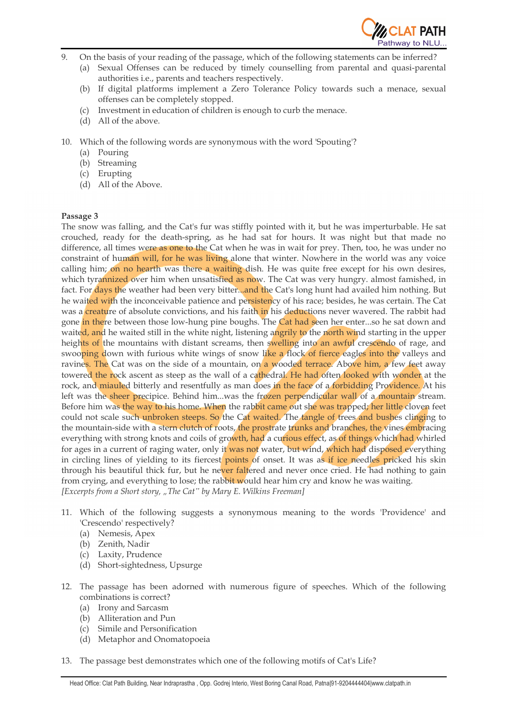

- 9. On the basis of your reading of the passage, which of the following statements can be inferred?
	- (a) Sexual Offenses can be reduced by timely counselling from parental and quasi-parental authorities i.e., parents and teachers respectively.
	- (b) If digital platforms implement a Zero Tolerance Policy towards such a menace, sexual offenses can be completely stopped.
	- (c) Investment in education of children is enough to curb the menace.
	- (d) All of the above.
- 10. Which of the following words are synonymous with the word 'Spouting'?
	- (a) Pouring
	- (b) Streaming
	- (c) Erupting
	- (d) All of the Above.

The snow was falling, and the Cat's fur was stiffly pointed with it, but he was imperturbable. He sat crouched, ready for the death-spring, as he had sat for hours. It was night but that made no difference, all times were as one to the Cat when he was in wait for prey. Then, too, he was under no constraint of human will, for he was living alone that winter. Nowhere in the world was any voice calling him; on no hearth was there a waiting dish. He was quite free except for his own desires, which tyrannized over him when unsatisfied as now. The Cat was very hungry, almost famished, in fact. For days the weather had been very bitter...and the Cat's long hunt had availed him nothing. But he waited with the inconceivable patience and persistency of his race; besides, he was certain. The Cat was a creature of absolute convictions, and his faith in his deductions never wavered. The rabbit had gone in there between those low-hung pine boughs. The Cat had seen her enter...so he sat down and waited, and he waited still in the white night, listening angrily to the north wind starting in the upper heights of the mountains with distant screams, then swelling into an awful crescendo of rage, and swooping down with furious white wings of snow like a flock of fierce eagles into the valleys and ravines. The Cat was on the side of a mountain, on a wooded terrace. Above him, a few feet away towered the rock ascent as steep as the wall of a cathedral. He had often looked with wonder at the rock, and miauled bitterly and resentfully as man does in the face of a forbidding Providence. At his left was the sheer precipice. Behind him...was the frozen perpendicular wall of a mountain stream. Before him was the way to his home. When the rabbit came out she was trapped; her little cloven feet could not scale such unbroken steeps. So the Cat waited. The tangle of trees and bushes clinging to the mountain-side with a stern clutch of roots, the prostrate trunks and branches, the vines embracing everything with strong knots and coils of growth, had a curious effect, as of things which had whirled for ages in a current of raging water, only it was not water, but wind, which had disposed everything in circling lines of yielding to its fiercest points of onset. It was as if ice needles pricked his skin through his beautiful thick fur, but he never faltered and never once cried. He had nothing to gain from crying, and everything to lose; the rabbit would hear him cry and know he was waiting. *[Excerpts from a Short story, "The Cat" by Mary E. Wilkins Freeman]* 

- 11. Which of the following suggests a synonymous meaning to the words 'Providence' and 'Crescendo' respectively?
	- (a) Nemesis, Apex
	- (b) Zenith, Nadir
	- (c) Laxity, Prudence
	- (d) Short-sightedness, Upsurge
- 12. The passage has been adorned with numerous figure of speeches. Which of the following combinations is correct?
	- (a) Irony and Sarcasm
	- (b) Alliteration and Pun
	- (c) Simile and Personification
	- (d) Metaphor and Onomatopoeia
- 13. The passage best demonstrates which one of the following motifs of Cat's Life?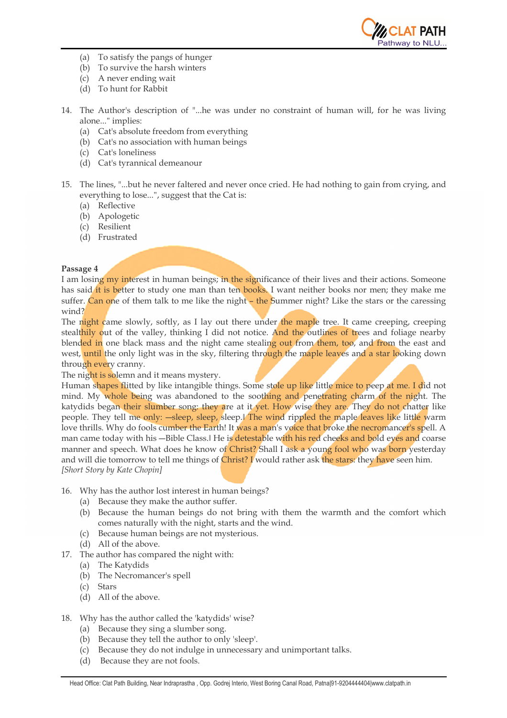

- (a) To satisfy the pangs of hunger
- (b) To survive the harsh winters
- (c) A never ending wait
- (d) To hunt for Rabbit
- 14. The Author's description of "...he was under no constraint of human will, for he was living alone..." implies:
	- (a) Cat's absolute freedom from everything
	- (b) Cat's no association with human beings
	- (c) Cat's loneliness
	- (d) Cat's tyrannical demeanour
- 15. The lines, "...but he never faltered and never once cried. He had nothing to gain from crying, and everything to lose...", suggest that the Cat is:
	- (a) Reflective
	- (b) Apologetic
	- (c) Resilient
	- (d) Frustrated

I am losing my interest in human beings; in the significance of their lives and their actions. Someone has said it is better to study one man than ten books. I want neither books nor men; they make me suffer. Can one of them talk to me like the night - the Summer night? Like the stars or the caressing wind?

The night came slowly, softly, as I lay out there under the maple tree. It came creeping, creeping stealthily out of the valley, thinking I did not notice. And the outlines of trees and foliage nearby blended in one black mass and the night came stealing out from them, too, and from the east and west, until the only light was in the sky, filtering through the maple leaves and a star looking down through every cranny.

The night is solemn and it means mystery.

Human shapes flitted by like intangible things. Some stole up like little mice to peep at me. I did not mind. My whole being was abandoned to the soothing and penetrating charm of the night. The katydids began their slumber song: they are at it yet. How wise they are. They do not chatter like people. They tell me only: —sleep, sleep, sleep. The wind rippled the maple leaves like little warm love thrills. Why do fools cumber the Earth! It was a man's voice that broke the necromancer's spell. A man came today with his -Bible Class. He is detestable with his red cheeks and bold eyes and coarse manner and speech. What does he know of Christ? Shall I ask a young fool who was born yesterday and will die tomorrow to tell me things of Christ? I would rather ask the stars: they have seen him. *[Short Story by Kate Chopin]* 

- 16. Why has the author lost interest in human beings?
	- (a) Because they make the author suffer.
	- (b) Because the human beings do not bring with them the warmth and the comfort which comes naturally with the night, starts and the wind.
	- (c) Because human beings are not mysterious.
	- (d) All of the above.
- 17. The author has compared the night with:
	- (a) The Katydids
	- (b) The Necromancer's spell
	- (c) Stars
	- (d) All of the above.
- 18. Why has the author called the 'katydids' wise?
	- (a) Because they sing a slumber song.
	- (b) Because they tell the author to only 'sleep'.
	- (c) Because they do not indulge in unnecessary and unimportant talks.
	- (d) Because they are not fools.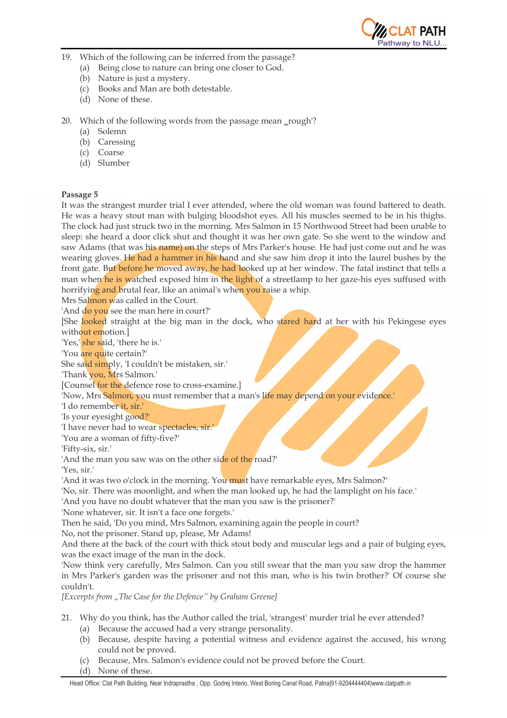

- 19. Which of the following can be inferred from the passage?
	- (a) Being close to nature can bring one closer to God.
	- (b) Nature is just a mystery.
	- (c) Books and Man are both detestable.
	- (d) None of these.
- 20. Which of the following words from the passage mean \_rough'?
	- (a) Solemn
	- (b) Caressing
	- (c) Coarse
	- (d) Slumber

It was the strangest murder trial I ever attended, where the old woman was found battered to death. He was a heavy stout man with bulging bloodshot eyes. All his muscles seemed to be in his thighs. The clock had just struck two in the morning. Mrs Salmon in 15 Northwood Street had been unable to sleep: she heard a door click shut and thought it was her own gate. So she went to the window and saw Adams (that was his name) on the steps of Mrs Parker's house. He had just come out and he was wearing gloves. He had a hammer in his hand and she saw him drop it into the laurel bushes by the front gate. But before he moved away, he had looked up at her window. The fatal instinct that tells a man when he is watched exposed him in the light of a streetlamp to her gaze-his eyes suffused with horrifying and brutal fear, like an animal's when you raise a whip.

Mrs Salmon was called in the Court.

'And do you see the man here in court?'

[She looked straight at the big man in the dock, who stared hard at her with his Pekingese eyes without emotion.]

'Yes,' she said, 'there he is.'

'You are quite certain?'

She said simply, 'I couldn't be mistaken, sir.'

'Thank you, Mrs Salmon.'

[Counsel for the defence rose to cross-examine.]

'Now, Mrs Salmon, you must remember that a man's life may depend on your evidence.'

'I do remember it, sir.'

'Is your eyesight good?'

'I have never had to wear spectacles, sir.

'You are a woman of fifty-five?'

'Fifty-six, sir.'

'And the man you saw was on the other side of the road?'

'Yes, sir.'

'And it was two o'clock in the morning. You must have remarkable eyes, Mrs Salmon?'

'No, sir. There was moonlight, and when the man looked up, he had the lamplight on his face.'

'And you have no doubt whatever that the man you saw is the prisoner?'

'None whatever, sir. It isn't a face one forgets.'

Then he said, 'Do you mind, Mrs Salmon, examining again the people in court?

No, not the prisoner. Stand up, please, Mr Adams!

And there at the back of the court with thick stout body and muscular legs and a pair of bulging eyes, was the exact image of the man in the dock.

'Now think very carefully, Mrs Salmon. Can you still swear that the man you saw drop the hammer in Mrs Parker's garden was the prisoner and not this man, who is his twin brother?' Of course she couldn't.

*[Excerpts from "The Case for the Defence" by Graham Greene]* 

- 21. Why do you think, has the Author called the trial, 'strangest' murder trial he ever attended?
	- (a) Because the accused had a very strange personality.
	- (b) Because, despite having a potential witness and evidence against the accused, his wrong could not be proved.
	- (c) Because, Mrs. Salmon's evidence could not be proved before the Court.
	- (d) None of these.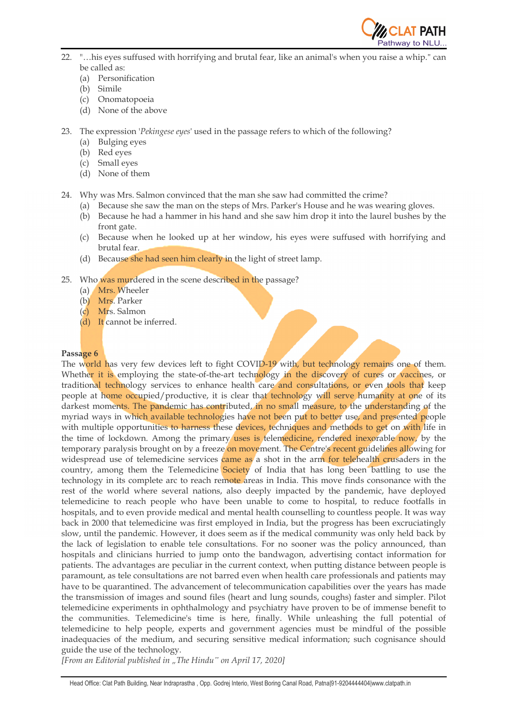

- 22. "…his eyes suffused with horrifying and brutal fear, like an animal's when you raise a whip." can be called as:
	- (a) Personification
	- (b) Simile
	- (c) Onomatopoeia
	- (d) None of the above
- 23. The expression '*Pekingese eyes*' used in the passage refers to which of the following?
	- (a) Bulging eyes
	- (b) Red eyes
	- (c) Small eyes
	- (d) None of them
- 24. Why was Mrs. Salmon convinced that the man she saw had committed the crime?
	- (a) Because she saw the man on the steps of Mrs. Parker's House and he was wearing gloves.
	- (b) Because he had a hammer in his hand and she saw him drop it into the laurel bushes by the front gate.
	- (c) Because when he looked up at her window, his eyes were suffused with horrifying and brutal fear.
	- (d) Because she had seen him clearly in the light of street lamp.
- 25. Who was murdered in the scene described in the passage?
	- (a) Mrs. Wheeler
	- (b) Mrs. Parker
	- (c) Mrs. Salmon
	- (d) It cannot be inferred.

The world has very few devices left to fight COVID-19 with, but technology remains one of them. Whether it is employing the state-of-the-art technology in the discovery of cures or vaccines, or traditional technology services to enhance health care and consultations, or even tools that keep people at home occupied/productive, it is clear that technology will serve humanity at one of its darkest moments. The pandemic has contributed, in no small measure, to the understanding of the myriad ways in which available technologies have not been put to better use, and presented people with multiple opportunities to harness these devices, techniques and methods to get on with life in the time of lockdown. Among the primary uses is telemedicine, rendered inexorable now, by the temporary paralysis brought on by a freeze on movement. The Centre's recent guidelines allowing for widespread use of telemedicine services came as a shot in the arm for telehealth crusaders in the country, among them the Telemedicine Society of India that has long been battling to use the technology in its complete arc to reach remote areas in India. This move finds consonance with the rest of the world where several nations, also deeply impacted by the pandemic, have deployed telemedicine to reach people who have been unable to come to hospital, to reduce footfalls in hospitals, and to even provide medical and mental health counselling to countless people. It was way back in 2000 that telemedicine was first employed in India, but the progress has been excruciatingly slow, until the pandemic. However, it does seem as if the medical community was only held back by the lack of legislation to enable tele consultations. For no sooner was the policy announced, than hospitals and clinicians hurried to jump onto the bandwagon, advertising contact information for patients. The advantages are peculiar in the current context, when putting distance between people is paramount, as tele consultations are not barred even when health care professionals and patients may have to be quarantined. The advancement of telecommunication capabilities over the years has made the transmission of images and sound files (heart and lung sounds, coughs) faster and simpler. Pilot telemedicine experiments in ophthalmology and psychiatry have proven to be of immense benefit to the communities. Telemedicine's time is here, finally. While unleashing the full potential of telemedicine to help people, experts and government agencies must be mindful of the possible inadequacies of the medium, and securing sensitive medical information; such cognisance should guide the use of the technology.

*[From an Editorial published in "The Hindu" on April 17, 2020]* 

Head Office: Clat Path Building, Near Indraprastha , Opp. Godrej Interio, West Boring Canal Road, Patna|91-9204444404|www.clatpath.in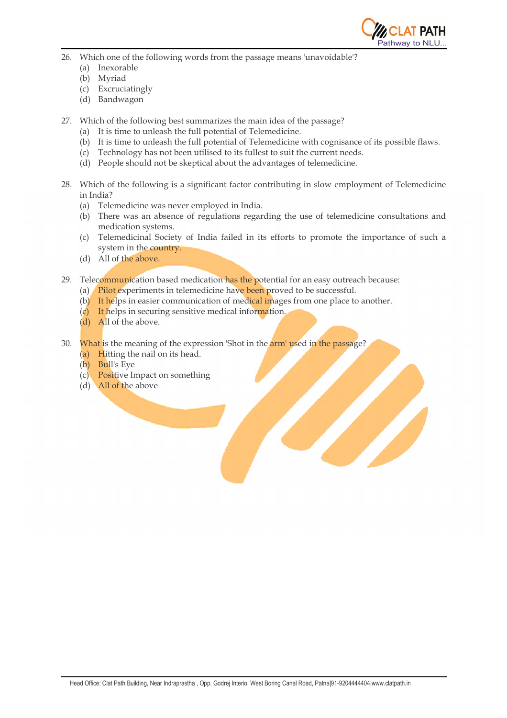

- 26. Which one of the following words from the passage means 'unavoidable'?
	- (a) Inexorable
	- (b) Myriad
	- (c) Excruciatingly
	- (d) Bandwagon
- 27. Which of the following best summarizes the main idea of the passage?
	- (a) It is time to unleash the full potential of Telemedicine.
	- (b) It is time to unleash the full potential of Telemedicine with cognisance of its possible flaws.
	- (c) Technology has not been utilised to its fullest to suit the current needs.
	- (d) People should not be skeptical about the advantages of telemedicine.
- 28. Which of the following is a significant factor contributing in slow employment of Telemedicine in India?
	- (a) Telemedicine was never employed in India.
	- (b) There was an absence of regulations regarding the use of telemedicine consultations and medication systems.
	- (c) Telemedicinal Society of India failed in its efforts to promote the importance of such a system in the country.
	- (d) All of the above.
- 29. Telecommunication based medication has the potential for an easy outreach because:
	- (a) Pilot experiments in telemedicine have been proved to be successful.
	- (b) It helps in easier communication of medical images from one place to another.
	- (c) It helps in securing sensitive medical information.
	- (d) All of the above.
- 30. What is the meaning of the expression 'Shot in the arm' used in the passage?
	- (a) Hitting the nail on its head.
	- (b) Bull's Eye
	- (c) Positive Impact on something
	- (d) All of the above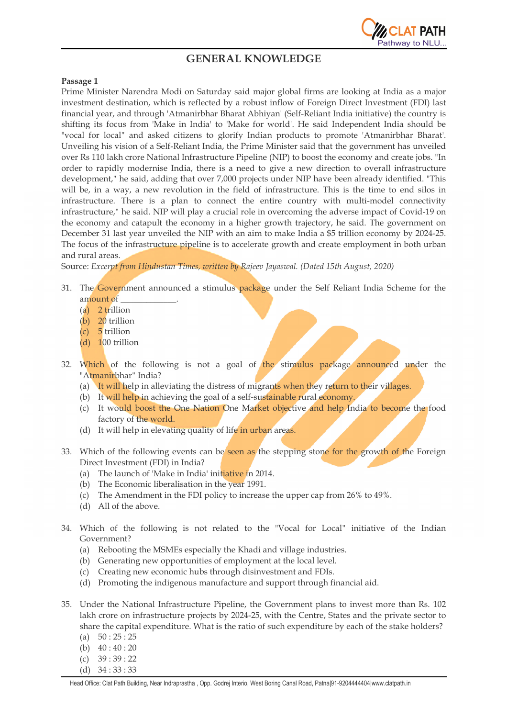# **GENERAL KNOWLEDGE**

Pathway to NLU...

#### **Passage 1**

Prime Minister Narendra Modi on Saturday said major global firms are looking at India as a major investment destination, which is reflected by a robust inflow of Foreign Direct Investment (FDI) last financial year, and through 'Atmanirbhar Bharat Abhiyan' (Self-Reliant India initiative) the country is shifting its focus from 'Make in India' to 'Make for world'. He said Independent India should be "vocal for local" and asked citizens to glorify Indian products to promote 'Atmanirbhar Bharat'. Unveiling his vision of a Self-Reliant India, the Prime Minister said that the government has unveiled over Rs 110 lakh crore National Infrastructure Pipeline (NIP) to boost the economy and create jobs. "In order to rapidly modernise India, there is a need to give a new direction to overall infrastructure development," he said, adding that over 7,000 projects under NIP have been already identified. "This will be, in a way, a new revolution in the field of infrastructure. This is the time to end silos in infrastructure. There is a plan to connect the entire country with multi-model connectivity infrastructure," he said. NIP will play a crucial role in overcoming the adverse impact of Covid-19 on the economy and catapult the economy in a higher growth trajectory, he said. The government on December 31 last year unveiled the NIP with an aim to make India a \$5 trillion economy by 2024-25. The focus of the infrastructure pipeline is to accelerate growth and create employment in both urban and rural areas.

Source: *Excerpt from Hindustan Times, written by Rajeev Jayaswal. (Dated 15th August, 2020)* 

- 31. The Government announced a stimulus package under the Self Reliant India Scheme for the amount of
	- (a) 2 trillion
	- (b) 20 trillion
	- (c) 5 trillion
	- (d) 100 trillion
- 32. Which of the following is not a goal of the stimulus package announced under the "Atmanirbhar" India?
	- (a) It will help in alleviating the distress of migrants when they return to their villages.
	- (b) It will help in achieving the goal of a self-sustainable rural economy.
	- (c) It would boost the One Nation One Market objective and help India to become the food factory of the world.
	- (d) It will help in elevating quality of life in urban areas.
- 33. Which of the following events can be seen as the stepping stone for the growth of the Foreign Direct Investment (FDI) in India?
	- (a) The launch of 'Make in India' initiative in 2014.
	- (b) The Economic liberalisation in the year 1991.
	- (c) The Amendment in the FDI policy to increase the upper cap from 26% to 49%.
	- (d) All of the above.
- 34. Which of the following is not related to the "Vocal for Local" initiative of the Indian Government?
	- (a) Rebooting the MSMEs especially the Khadi and village industries.
	- (b) Generating new opportunities of employment at the local level.
	- (c) Creating new economic hubs through disinvestment and FDIs.
	- (d) Promoting the indigenous manufacture and support through financial aid.
- 35. Under the National Infrastructure Pipeline, the Government plans to invest more than Rs. 102 lakh crore on infrastructure projects by 2024-25, with the Centre, States and the private sector to share the capital expenditure. What is the ratio of such expenditure by each of the stake holders?
	- (a)  $50:25:25$
	- (b)  $40:40:20$
	- (c) 39 : 39 : 22
	- (d) 34 : 33 : 33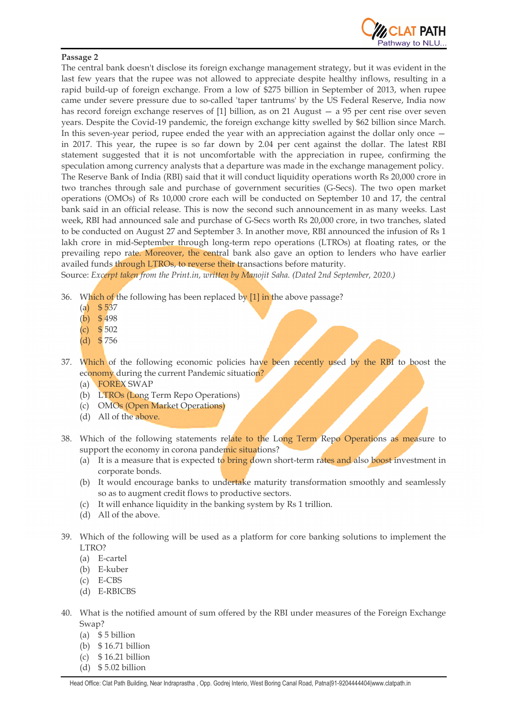

The central bank doesn't disclose its foreign exchange management strategy, but it was evident in the last few years that the rupee was not allowed to appreciate despite healthy inflows, resulting in a rapid build-up of foreign exchange. From a low of \$275 billion in September of 2013, when rupee came under severe pressure due to so-called 'taper tantrums' by the US Federal Reserve, India now has record foreign exchange reserves of [1] billion, as on 21 August — a 95 per cent rise over seven years. Despite the Covid-19 pandemic, the foreign exchange kitty swelled by \$62 billion since March. In this seven-year period, rupee ended the year with an appreciation against the dollar only once in 2017. This year, the rupee is so far down by 2.04 per cent against the dollar. The latest RBI statement suggested that it is not uncomfortable with the appreciation in rupee, confirming the speculation among currency analysts that a departure was made in the exchange management policy. The Reserve Bank of India (RBI) said that it will conduct liquidity operations worth Rs 20,000 crore in two tranches through sale and purchase of government securities (G-Secs). The two open market operations (OMOs) of Rs 10,000 crore each will be conducted on September 10 and 17, the central bank said in an official release. This is now the second such announcement in as many weeks. Last week, RBI had announced sale and purchase of G-Secs worth Rs 20,000 crore, in two tranches, slated to be conducted on August 27 and September 3. In another move, RBI announced the infusion of Rs 1 lakh crore in mid-September through long-term repo operations (LTROs) at floating rates, or the prevailing repo rate. Moreover, the central bank also gave an option to lenders who have earlier availed funds through LTROs, to reverse their transactions before maturity.

Source: *Excerpt taken from the Print.in, written by Manojit Saha. (Dated 2nd September, 2020.)* 

- 36. Which of the following has been replaced by [1] in the above passage?
	- (a)  $$537$
	- (b)  $$498$
	- $(c)$  \$ 502
	- (d) \$ 756
- 37. Which of the following economic policies have been recently used by the RBI to boost the economy during the current Pandemic situation?
	- (a) FOREX SWAP
	- (b) LTROs (Long Term Repo Operations)
	- (c) OMOs (Open Market Operations)
	- (d) All of the above.
- 38. Which of the following statements relate to the Long Term Repo Operations as measure to support the economy in corona pandemic situations?
	- (a) It is a measure that is expected to bring down short-term rates and also boost investment in corporate bonds.
	- (b) It would encourage banks to undertake maturity transformation smoothly and seamlessly so as to augment credit flows to productive sectors.
	- (c) It will enhance liquidity in the banking system by Rs 1 trillion.
	- (d) All of the above.
- 39. Which of the following will be used as a platform for core banking solutions to implement the LTRO?
	- (a) E-cartel
	- (b) E-kuber
	- (c) E-CBS
	- (d) E-RBICBS
- 40. What is the notified amount of sum offered by the RBI under measures of the Foreign Exchange Swap?
	- (a) \$ 5 billion
	- (b) \$ 16.71 billion
	- (c) \$ 16.21 billion
	- (d) \$ 5.02 billion

Head Office: Clat Path Building, Near Indraprastha , Opp. Godrej Interio, West Boring Canal Road, Patna|91-9204444404|www.clatpath.in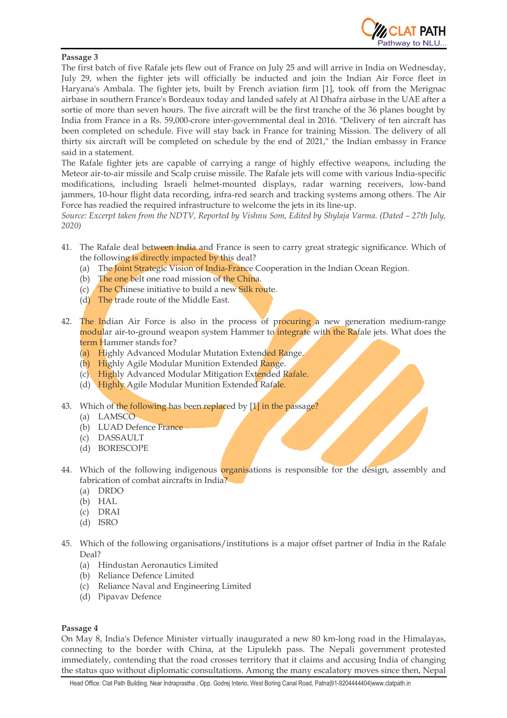The first batch of five Rafale jets flew out of France on July 25 and will arrive in India on Wednesday, July 29, when the fighter jets will officially be inducted and join the Indian Air Force fleet in Haryana's Ambala. The fighter jets, built by French aviation firm [1], took off from the Merignac airbase in southern France's Bordeaux today and landed safely at Al Dhafra airbase in the UAE after a sortie of more than seven hours. The five aircraft will be the first tranche of the 36 planes bought by India from France in a Rs. 59,000-crore inter-governmental deal in 2016. "Delivery of ten aircraft has been completed on schedule. Five will stay back in France for training Mission. The delivery of all thirty six aircraft will be completed on schedule by the end of 2021," the Indian embassy in France said in a statement.

The Rafale fighter jets are capable of carrying a range of highly effective weapons, including the Meteor air-to-air missile and Scalp cruise missile. The Rafale jets will come with various India-specific modifications, including Israeli helmet-mounted displays, radar warning receivers, low-band jammers, 10-hour flight data recording, infra-red search and tracking systems among others. The Air Force has readied the required infrastructure to welcome the jets in its line-up.

*Source: Excerpt taken from the NDTV, Reported by Vishnu Som, Edited by Shylaja Varma. (Dated – 27th July, 2020)* 

- 41. The Rafale deal between India and France is seen to carry great strategic significance. Which of the following is directly impacted by this deal?
	- (a) The Joint Strategic Vision of India-France Cooperation in the Indian Ocean Region.
	- (b) The one belt one road mission of the China.
	- (c) The Chinese initiative to build a new Silk route.
	- (d) The trade route of the Middle East.
- 42. The Indian Air Force is also in the process of procuring a new generation medium-range modular air-to-ground weapon system Hammer to integrate with the Rafale jets. What does the term Hammer stands for?
	- (a) Highly Advanced Modular Mutation Extended Range.
	- (b) Highly Agile Modular Munition Extended Range.
	- (c) Highly Advanced Modular Mitigation Extended Rafale.
	- (d) Highly Agile Modular Munition Extended Rafale.
- 43. Which of the following has been replaced by [1] in the passage?
	- (a) LAMSCO
	- (b) LUAD Defence France
	- (c) DASSAULT
	- (d) BORESCOPE
- 44. Which of the following indigenous organisations is responsible for the design, assembly and fabrication of combat aircrafts in India?
	- (a) DRDO
	- (b) HAL
	- (c) DRAI
	- (d) ISRO
- 45. Which of the following organisations/institutions is a major offset partner of India in the Rafale Deal?
	- (a) Hindustan Aeronautics Limited
	- (b) Reliance Defence Limited
	- (c) Reliance Naval and Engineering Limited
	- (d) Pipavav Defence

### **Passage 4**

On May 8, India's Defence Minister virtually inaugurated a new 80 km-long road in the Himalayas, connecting to the border with China, at the Lipulekh pass. The Nepali government protested immediately, contending that the road crosses territory that it claims and accusing India of changing the status quo without diplomatic consultations. Among the many escalatory moves since then, Nepal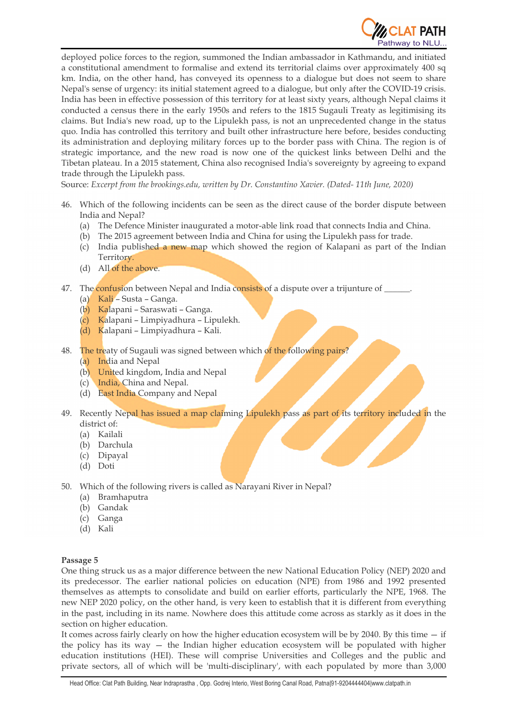

deployed police forces to the region, summoned the Indian ambassador in Kathmandu, and initiated a constitutional amendment to formalise and extend its territorial claims over approximately 400 sq km. India, on the other hand, has conveyed its openness to a dialogue but does not seem to share Nepal's sense of urgency: its initial statement agreed to a dialogue, but only after the COVID-19 crisis. India has been in effective possession of this territory for at least sixty years, although Nepal claims it conducted a census there in the early 1950s and refers to the 1815 Sugauli Treaty as legitimising its claims. But India's new road, up to the Lipulekh pass, is not an unprecedented change in the status quo. India has controlled this territory and built other infrastructure here before, besides conducting its administration and deploying military forces up to the border pass with China. The region is of strategic importance, and the new road is now one of the quickest links between Delhi and the Tibetan plateau. In a 2015 statement, China also recognised India's sovereignty by agreeing to expand trade through the Lipulekh pass.

Source: *Excerpt from the brookings.edu, written by Dr. Constantino Xavier. (Dated- 11th June, 2020)* 

- 46. Which of the following incidents can be seen as the direct cause of the border dispute between India and Nepal?
	- (a) The Defence Minister inaugurated a motor-able link road that connects India and China.
	- (b) The 2015 agreement between India and China for using the Lipulekh pass for trade.
	- (c) India published a new map which showed the region of Kalapani as part of the Indian Territory.
	- (d) All of the above.

47. The confusion between Nepal and India consists of a dispute over a trijunture of

- (a) Kali Susta Ganga.
- (b) Kalapani Saraswati Ganga.
- (c) Kalapani Limpiyadhura Lipulekh.
- (d) Kalapani Limpiyadhura Kali.
- 48. The treaty of Sugauli was signed between which of the following pairs?
	- (a) India and Nepal
	- (b) United kingdom, India and Nepal
	- (c) India, China and Nepal.
	- (d) East India Company and Nepal
- 49. Recently Nepal has issued a map claiming Lipulekh pass as part of its territory included in the district of:
	- (a) Kailali
	- (b) Darchula
	- (c) Dipayal
	- (d) Doti
- 50. Which of the following rivers is called as Narayani River in Nepal?
	- (a) Bramhaputra
	- (b) Gandak
	- (c) Ganga
	- (d) Kali

#### **Passage 5**

One thing struck us as a major difference between the new National Education Policy (NEP) 2020 and its predecessor. The earlier national policies on education (NPE) from 1986 and 1992 presented themselves as attempts to consolidate and build on earlier efforts, particularly the NPE, 1968. The new NEP 2020 policy, on the other hand, is very keen to establish that it is different from everything in the past, including in its name. Nowhere does this attitude come across as starkly as it does in the section on higher education.

It comes across fairly clearly on how the higher education ecosystem will be by 2040. By this time  $-$  if the policy has its way — the Indian higher education ecosystem will be populated with higher education institutions (HEI). These will comprise Universities and Colleges and the public and private sectors, all of which will be 'multi-disciplinary', with each populated by more than 3,000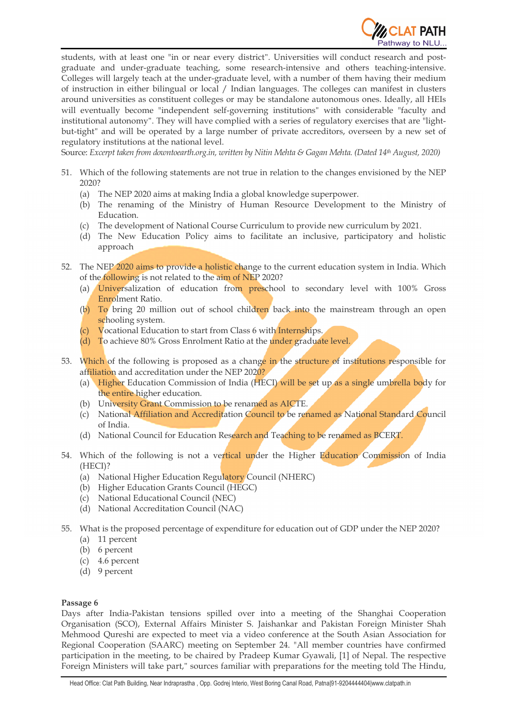

students, with at least one "in or near every district". Universities will conduct research and postgraduate and under-graduate teaching, some research-intensive and others teaching-intensive. Colleges will largely teach at the under-graduate level, with a number of them having their medium of instruction in either bilingual or local / Indian languages. The colleges can manifest in clusters around universities as constituent colleges or may be standalone autonomous ones. Ideally, all HEIs will eventually become "independent self-governing institutions" with considerable "faculty and institutional autonomy". They will have complied with a series of regulatory exercises that are "lightbut-tight" and will be operated by a large number of private accreditors, overseen by a new set of regulatory institutions at the national level.

Source: *Excerpt taken from downtoearth.org.in, written by Nitin Mehta & Gagan Mehta. (Dated 14th August, 2020)* 

- 51. Which of the following statements are not true in relation to the changes envisioned by the NEP 2020?
	- (a) The NEP 2020 aims at making India a global knowledge superpower.
	- (b) The renaming of the Ministry of Human Resource Development to the Ministry of Education.
	- (c) The development of National Course Curriculum to provide new curriculum by 2021.
	- (d) The New Education Policy aims to facilitate an inclusive, participatory and holistic approach
- 52. The NEP 2020 aims to provide a holistic change to the current education system in India. Which of the following is not related to the aim of NEP 2020?
	- (a) Universalization of education from preschool to secondary level with 100% Gross Enrolment Ratio.
	- (b) To bring 20 million out of school children back into the mainstream through an open schooling system.
	- (c) Vocational Education to start from Class 6 with Internships.
	- (d) To achieve 80% Gross Enrolment Ratio at the under graduate level.
- 53. Which of the following is proposed as a change in the structure of institutions responsible for affiliation and accreditation under the NEP 2020?
	- (a) Higher Education Commission of India (HECI) will be set up as a single umbrella body for the entire higher education.
	- (b) University Grant Commission to be renamed as AICTE.
	- (c) National Affiliation and Accreditation Council to be renamed as National Standard Council of India.
	- (d) National Council for Education Research and Teaching to be renamed as BCERT.
- 54. Which of the following is not a vertical under the Higher Education Commission of India (HECI)?
	- (a) National Higher Education Regulatory Council (NHERC)
	- (b) Higher Education Grants Council (HEGC)
	- (c) National Educational Council (NEC)
	- (d) National Accreditation Council (NAC)
- 55. What is the proposed percentage of expenditure for education out of GDP under the NEP 2020?
	- (a) 11 percent
	- (b) 6 percent
	- (c) 4.6 percent
	- (d) 9 percent

### **Passage 6**

Days after India-Pakistan tensions spilled over into a meeting of the Shanghai Cooperation Organisation (SCO), External Affairs Minister S. Jaishankar and Pakistan Foreign Minister Shah Mehmood Qureshi are expected to meet via a video conference at the South Asian Association for Regional Cooperation (SAARC) meeting on September 24. "All member countries have confirmed participation in the meeting, to be chaired by Pradeep Kumar Gyawali, [1] of Nepal. The respective Foreign Ministers will take part," sources familiar with preparations for the meeting told The Hindu,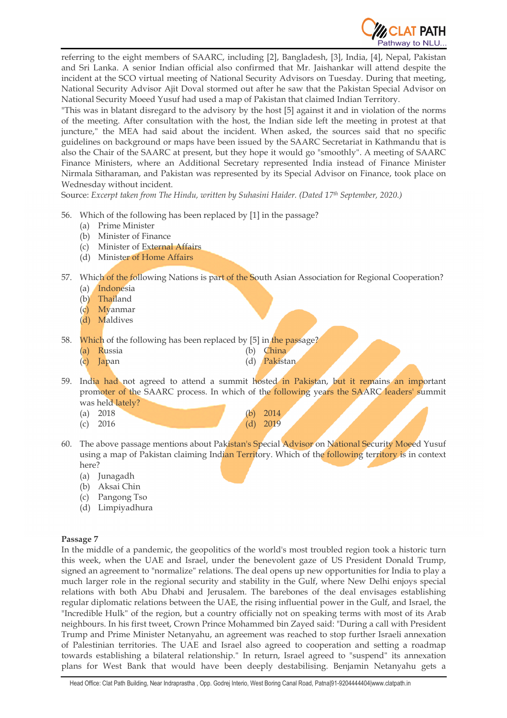

referring to the eight members of SAARC, including [2], Bangladesh, [3], India, [4], Nepal, Pakistan and Sri Lanka. A senior Indian official also confirmed that Mr. Jaishankar will attend despite the incident at the SCO virtual meeting of National Security Advisors on Tuesday. During that meeting, National Security Advisor Ajit Doval stormed out after he saw that the Pakistan Special Advisor on National Security Moeed Yusuf had used a map of Pakistan that claimed Indian Territory.

"This was in blatant disregard to the advisory by the host [5] against it and in violation of the norms of the meeting. After consultation with the host, the Indian side left the meeting in protest at that juncture," the MEA had said about the incident. When asked, the sources said that no specific guidelines on background or maps have been issued by the SAARC Secretariat in Kathmandu that is also the Chair of the SAARC at present, but they hope it would go "smoothly". A meeting of SAARC Finance Ministers, where an Additional Secretary represented India instead of Finance Minister Nirmala Sitharaman, and Pakistan was represented by its Special Advisor on Finance, took place on Wednesday without incident.

Source: *Excerpt taken from The Hindu, written by Suhasini Haider. (Dated 17th September, 2020.)* 

- 56. Which of the following has been replaced by [1] in the passage?
	- (a) Prime Minister
	- (b) Minister of Finance
	- (c) Minister of External Affairs
	- (d) Minister of Home Affairs
- 57. Which of the following Nations is part of the South Asian Association for Regional Cooperation?
	- (a) Indonesia
	- (b) Thailand (c) Myanmar
	- (d) Maldives
	-

58. Which of the following has been replaced by [5] in the passage?

- (a) Russia (b) China
- (c) Japan (d) Pakistan
- 59. India had not agreed to attend a summit hosted in Pakistan, but it remains an important promoter of the SAARC process. In which of the following years the SAARC leaders' summit was held lately?
	- (a) 2018 (b) 2014
	- (c) 2016 (d) 2019
- 60. The above passage mentions about Pakistan's Special Advisor on National Security Moeed Yusuf using a map of Pakistan claiming Indian Territory. Which of the following territory is in context here?
	- (a) Junagadh
	- (b) Aksai Chin
	- (c) Pangong Tso
	- (d) Limpiyadhura

### **Passage 7**

In the middle of a pandemic, the geopolitics of the world's most troubled region took a historic turn this week, when the UAE and Israel, under the benevolent gaze of US President Donald Trump, signed an agreement to "normalize" relations. The deal opens up new opportunities for India to play a much larger role in the regional security and stability in the Gulf, where New Delhi enjoys special relations with both Abu Dhabi and Jerusalem. The barebones of the deal envisages establishing regular diplomatic relations between the UAE, the rising influential power in the Gulf, and Israel, the "Incredible Hulk" of the region, but a country officially not on speaking terms with most of its Arab neighbours. In his first tweet, Crown Prince Mohammed bin Zayed said: "During a call with President Trump and Prime Minister Netanyahu, an agreement was reached to stop further Israeli annexation of Palestinian territories. The UAE and Israel also agreed to cooperation and setting a roadmap towards establishing a bilateral relationship." In return, Israel agreed to "suspend" its annexation plans for West Bank that would have been deeply destabilising. Benjamin Netanyahu gets a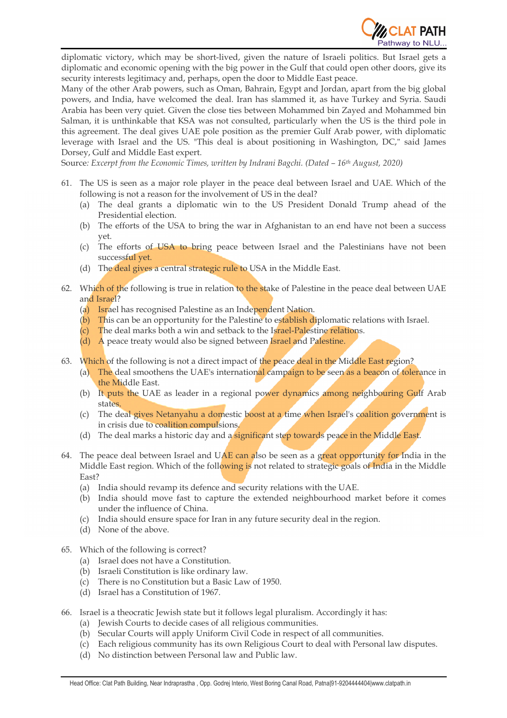

diplomatic victory, which may be short-lived, given the nature of Israeli politics. But Israel gets a diplomatic and economic opening with the big power in the Gulf that could open other doors, give its security interests legitimacy and, perhaps, open the door to Middle East peace.

Many of the other Arab powers, such as Oman, Bahrain, Egypt and Jordan, apart from the big global powers, and India, have welcomed the deal. Iran has slammed it, as have Turkey and Syria. Saudi Arabia has been very quiet. Given the close ties between Mohammed bin Zayed and Mohammed bin Salman, it is unthinkable that KSA was not consulted, particularly when the US is the third pole in this agreement. The deal gives UAE pole position as the premier Gulf Arab power, with diplomatic leverage with Israel and the US. "This deal is about positioning in Washington, DC," said James Dorsey, Gulf and Middle East expert.

Source*: Excerpt from the Economic Times, written by Indrani Bagchi. (Dated – 16th August, 2020)*

- 61. The US is seen as a major role player in the peace deal between Israel and UAE. Which of the following is not a reason for the involvement of US in the deal?
	- (a) The deal grants a diplomatic win to the US President Donald Trump ahead of the Presidential election.
	- (b) The efforts of the USA to bring the war in Afghanistan to an end have not been a success yet.
	- (c) The efforts of USA to bring peace between Israel and the Palestinians have not been successful yet.
	- (d) The deal gives a central strategic rule to USA in the Middle East.
- 62. Which of the following is true in relation to the stake of Palestine in the peace deal between UAE and Israel?
	- (a) Israel has recognised Palestine as an Independent Nation.
	- (b) This can be an opportunity for the Palestine to establish diplomatic relations with Israel.
	- (c) The deal marks both a win and setback to the Israel-Palestine relations.
	- (d) A peace treaty would also be signed between Israel and Palestine.
- 63. Which of the following is not a direct impact of the peace deal in the Middle East region?
	- (a) The deal smoothens the UAE's international campaign to be seen as a beacon of tolerance in the Middle East.
	- (b) It puts the UAE as leader in a regional power dynamics among neighbouring Gulf Arab states.
	- (c) The deal gives Netanyahu a domestic boost at a time when Israel's coalition government is in crisis due to coalition compulsions.
	- (d) The deal marks a historic day and a significant step towards peace in the Middle East.
- 64. The peace deal between Israel and  $UAE$  can also be seen as a great opportunity for India in the Middle East region. Which of the following is not related to strategic goals of India in the Middle East?
	- (a) India should revamp its defence and security relations with the UAE.
	- (b) India should move fast to capture the extended neighbourhood market before it comes under the influence of China.
	- (c) India should ensure space for Iran in any future security deal in the region.
	- (d) None of the above.
- 65. Which of the following is correct?
	- (a) Israel does not have a Constitution.
	- (b) Israeli Constitution is like ordinary law.
	- (c) There is no Constitution but a Basic Law of 1950.
	- (d) Israel has a Constitution of 1967.
- 66. Israel is a theocratic Jewish state but it follows legal pluralism. Accordingly it has:
	- (a) Jewish Courts to decide cases of all religious communities.
	- (b) Secular Courts will apply Uniform Civil Code in respect of all communities.
	- (c) Each religious community has its own Religious Court to deal with Personal law disputes.
	- (d) No distinction between Personal law and Public law.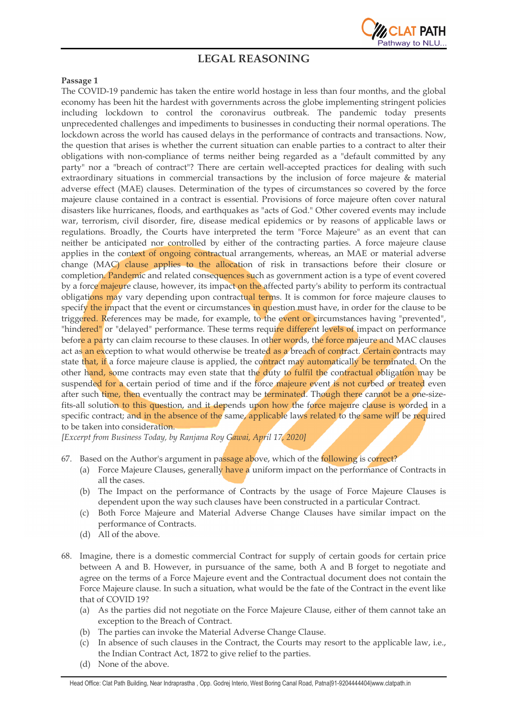## **LEGAL REASONING**



#### **Passage 1**

The COVID-19 pandemic has taken the entire world hostage in less than four months, and the global economy has been hit the hardest with governments across the globe implementing stringent policies including lockdown to control the coronavirus outbreak. The pandemic today presents unprecedented challenges and impediments to businesses in conducting their normal operations. The lockdown across the world has caused delays in the performance of contracts and transactions. Now, the question that arises is whether the current situation can enable parties to a contract to alter their obligations with non-compliance of terms neither being regarded as a "default committed by any party" nor a "breach of contract"? There are certain well-accepted practices for dealing with such extraordinary situations in commercial transactions by the inclusion of force majeure & material adverse effect (MAE) clauses. Determination of the types of circumstances so covered by the force majeure clause contained in a contract is essential. Provisions of force majeure often cover natural disasters like hurricanes, floods, and earthquakes as "acts of God." Other covered events may include war, terrorism, civil disorder, fire, disease medical epidemics or by reasons of applicable laws or regulations. Broadly, the Courts have interpreted the term "Force Majeure" as an event that can neither be anticipated nor controlled by either of the contracting parties. A force majeure clause applies in the context of ongoing contractual arrangements, whereas, an MAE or material adverse change (MAC) clause applies to the allocation of risk in transactions before their closure or completion. Pandemic and related consequences such as government action is a type of event covered by a force majeure clause, however, its impact on the affected party's ability to perform its contractual obligations may vary depending upon contractual terms. It is common for force majeure clauses to specify the impact that the event or circumstances in question must have, in order for the clause to be triggered. References may be made, for example, to the event or circumstances having "prevented", "hindered" or "delayed" performance. These terms require different levels of impact on performance before a party can claim recourse to these clauses. In other words, the force majeure and MAC clauses act as an exception to what would otherwise be treated as a breach of contract. Certain contracts may state that, if a force majeure clause is applied, the contract may automatically be terminated. On the other hand, some contracts may even state that the duty to fulfil the contractual obligation may be suspended for a certain period of time and if the force majeure event is not curbed or treated even after such time, then eventually the contract may be terminated. Though there cannot be a one-sizefits-all solution to this question, and it depends upon how the force majeure clause is worded in a specific contract; and in the absence of the same, applicable laws related to the same will be required to be taken into consideration.

*[Excerpt from Business Today, by Ranjana Roy Gawai, April 17, 2020]* 

- 67. Based on the Author's argument in passage above, which of the following is correct?
	- (a) Force Majeure Clauses, generally have a uniform impact on the performance of Contracts in all the cases.
	- (b) The Impact on the performance of Contracts by the usage of Force Majeure Clauses is dependent upon the way such clauses have been constructed in a particular Contract.
	- (c) Both Force Majeure and Material Adverse Change Clauses have similar impact on the performance of Contracts.
	- (d) All of the above.
- 68. Imagine, there is a domestic commercial Contract for supply of certain goods for certain price between A and B. However, in pursuance of the same, both A and B forget to negotiate and agree on the terms of a Force Majeure event and the Contractual document does not contain the Force Majeure clause. In such a situation, what would be the fate of the Contract in the event like that of COVID 19?
	- (a) As the parties did not negotiate on the Force Majeure Clause, either of them cannot take an exception to the Breach of Contract.
	- (b) The parties can invoke the Material Adverse Change Clause.
	- (c) In absence of such clauses in the Contract, the Courts may resort to the applicable law, i.e., the Indian Contract Act, 1872 to give relief to the parties.
	- (d) None of the above.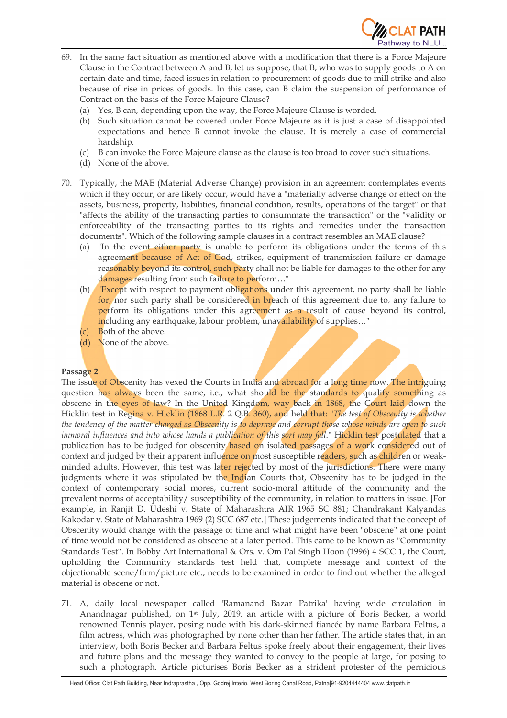

- 69. In the same fact situation as mentioned above with a modification that there is a Force Majeure Clause in the Contract between A and B, let us suppose, that B, who was to supply goods to A on certain date and time, faced issues in relation to procurement of goods due to mill strike and also because of rise in prices of goods. In this case, can B claim the suspension of performance of Contract on the basis of the Force Majeure Clause?
	- (a) Yes, B can, depending upon the way, the Force Majeure Clause is worded.
	- (b) Such situation cannot be covered under Force Majeure as it is just a case of disappointed expectations and hence B cannot invoke the clause. It is merely a case of commercial hardship.
	- (c) B can invoke the Force Majeure clause as the clause is too broad to cover such situations.
	- (d) None of the above.
- 70. Typically, the MAE (Material Adverse Change) provision in an agreement contemplates events which if they occur, or are likely occur, would have a "materially adverse change or effect on the assets, business, property, liabilities, financial condition, results, operations of the target" or that "affects the ability of the transacting parties to consummate the transaction" or the "validity or enforceability of the transacting parties to its rights and remedies under the transaction documents". Which of the following sample clauses in a contract resembles an MAE clause?
	- (a) "In the event either party is unable to perform its obligations under the terms of this agreement because of Act of God, strikes, equipment of transmission failure or damage reasonably beyond its control, such party shall not be liable for damages to the other for any damages resulting from such failure to perform…"
	- (b) "Except with respect to payment obligations under this agreement, no party shall be liable for, nor such party shall be considered in breach of this agreement due to, any failure to perform its obligations under this agreement as a result of cause beyond its control, including any earthquake, labour problem, unavailability of supplies..."
	- (c) Both of the above.
	- (d) None of the above.

The issue of Obscenity has vexed the Courts in India and abroad for a long time now. The intriguing question has always been the same, i.e., what should be the standards to qualify something as obscene in the eyes of law? In the United Kingdom, way back in 1868, the Court laid down the Hicklin test in Regina v. Hicklin (1868 L.R. 2 Q.B. 360), and held that: "*The test of Obscenity is whether the tendency of the matter charged as Obscenity is to deprave and corrupt those whose minds are open to such*  immoral influences and into whose hands a publication of this sort may fall." Hicklin test postulated that a publication has to be judged for obscenity based on isolated passages of a work considered out of context and judged by their apparent influence on most susceptible readers, such as children or weakminded adults. However, this test was later rejected by most of the jurisdictions. There were many judgments where it was stipulated by the Indian Courts that, Obscenity has to be judged in the context of contemporary social mores, current socio-moral attitude of the community and the prevalent norms of acceptability/ susceptibility of the community, in relation to matters in issue. [For example, in Ranjit D. Udeshi v. State of Maharashtra AIR 1965 SC 881; Chandrakant Kalyandas Kakodar v. State of Maharashtra 1969 (2) SCC 687 etc.] These judgements indicated that the concept of Obscenity would change with the passage of time and what might have been "obscene" at one point of time would not be considered as obscene at a later period. This came to be known as "Community Standards Test". In Bobby Art International & Ors. v. Om Pal Singh Hoon (1996) 4 SCC 1, the Court, upholding the Community standards test held that, complete message and context of the objectionable scene/firm/picture etc., needs to be examined in order to find out whether the alleged material is obscene or not.

71. A, daily local newspaper called 'Ramanand Bazar Patrika' having wide circulation in Anandnagar published, on 1st July, 2019, an article with a picture of Boris Becker, a world renowned Tennis player, posing nude with his dark-skinned fiancée by name Barbara Feltus, a film actress, which was photographed by none other than her father. The article states that, in an interview, both Boris Becker and Barbara Feltus spoke freely about their engagement, their lives and future plans and the message they wanted to convey to the people at large, for posing to such a photograph. Article picturises Boris Becker as a strident protester of the pernicious

Head Office: Clat Path Building, Near Indraprastha , Opp. Godrej Interio, West Boring Canal Road, Patna|91-9204444404|www.clatpath.in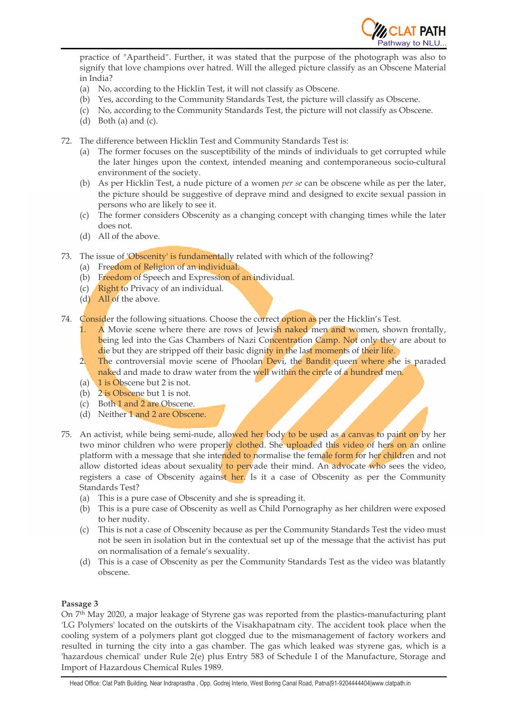

practice of "Apartheid". Further, it was stated that the purpose of the photograph was also to signify that love champions over hatred. Will the alleged picture classify as an Obscene Material in India?

- (a) No, according to the Hicklin Test, it will not classify as Obscene.
- (b) Yes, according to the Community Standards Test, the picture will classify as Obscene.
- (c) No, according to the Community Standards Test, the picture will not classify as Obscene.
- (d) Both (a) and (c).
- 72. The difference between Hicklin Test and Community Standards Test is:
	- (a) The former focuses on the susceptibility of the minds of individuals to get corrupted while the later hinges upon the context, intended meaning and contemporaneous socio-cultural environment of the society.
	- (b) As per Hicklin Test, a nude picture of a women *per se* can be obscene while as per the later, the picture should be suggestive of deprave mind and designed to excite sexual passion in persons who are likely to see it.
	- (c) The former considers Obscenity as a changing concept with changing times while the later does not.
	- (d) All of the above.
- 73. The issue of 'Obscenity' is fundamentally related with which of the following?
	- (a) Freedom of Religion of an individual.
	- (b) Freedom of Speech and Expression of an individual.
	- (c) Right to Privacy of an individual.
	- (d) All of the above.
- 74. Consider the following situations. Choose the correct option as per the Hicklin's Test.
	- 1. A Movie scene where there are rows of Jewish naked men and women, shown frontally, being led into the Gas Chambers of Nazi Concentration Camp. Not only they are about to die but they are stripped off their basic dignity in the last moments of their life.
	- 2. The controversial movie scene of Phoolan Devi, the Bandit queen where she is paraded naked and made to draw water from the well within the circle of a hundred men.
	- (a) 1 is Obscene but 2 is not.
	- (b) 2 is Obscene but 1 is not.
	- (c) Both 1 and 2 are Obscene.
	- (d) Neither 1 and 2 are Obscene.
- 75. An activist, while being semi-nude, allowed her body to be used as a canvas to paint on by her two minor children who were properly clothed. She uploaded this video of hers on an online platform with a message that she intended to normalise the female form for her children and not allow distorted ideas about sexuality to pervade their mind. An advocate who sees the video, registers a case of Obscenity against her. Is it a case of Obscenity as per the Community Standards Test?
	- (a) This is a pure case of Obscenity and she is spreading it.
	- (b) This is a pure case of Obscenity as well as Child Pornography as her children were exposed to her nudity.
	- (c) This is not a case of Obscenity because as per the Community Standards Test the video must not be seen in isolation but in the contextual set up of the message that the activist has put on normalisation of a female's sexuality.
	- (d) This is a case of Obscenity as per the Community Standards Test as the video was blatantly obscene.

### **Passage 3**

On 7th May 2020, a major leakage of Styrene gas was reported from the plastics-manufacturing plant 'LG Polymers' located on the outskirts of the Visakhapatnam city. The accident took place when the cooling system of a polymers plant got clogged due to the mismanagement of factory workers and resulted in turning the city into a gas chamber. The gas which leaked was styrene gas, which is a 'hazardous chemical' under Rule 2(e) plus Entry 583 of Schedule I of the Manufacture, Storage and Import of Hazardous Chemical Rules 1989.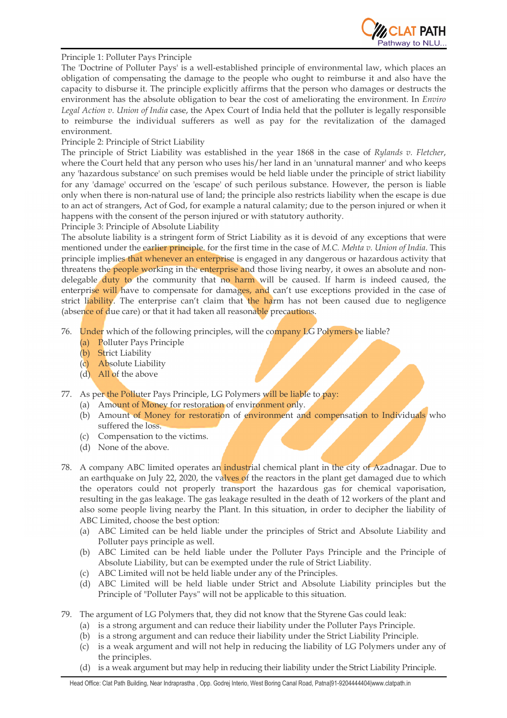#### Principle 1: Polluter Pays Principle

The 'Doctrine of Polluter Pays' is a well-established principle of environmental law, which places an obligation of compensating the damage to the people who ought to reimburse it and also have the capacity to disburse it. The principle explicitly affirms that the person who damages or destructs the environment has the absolute obligation to bear the cost of ameliorating the environment. In *Enviro Legal Action v. Union of India* case, the Apex Court of India held that the polluter is legally responsible to reimburse the individual sufferers as well as pay for the revitalization of the damaged environment.

Principle 2: Principle of Strict Liability

The principle of Strict Liability was established in the year 1868 in the case of *Rylands v. Fletcher*, where the Court held that any person who uses his/her land in an 'unnatural manner' and who keeps any 'hazardous substance' on such premises would be held liable under the principle of strict liability for any 'damage' occurred on the 'escape' of such perilous substance. However, the person is liable only when there is non-natural use of land; the principle also restricts liability when the escape is due to an act of strangers, Act of God, for example a natural calamity; due to the person injured or when it happens with the consent of the person injured or with statutory authority.

Principle 3: Principle of Absolute Liability

The absolute liability is a stringent form of Strict Liability as it is devoid of any exceptions that were mentioned under the earlier principle. for the first time in the case of *M.C. Mehta v. Union of India*. This principle implies that whenever an enterprise is engaged in any dangerous or hazardous activity that threatens the people working in the enterprise and those living nearby, it owes an absolute and nondelegable duty to the community that no harm will be caused. If harm is indeed caused, the enterprise will have to compensate for damages, and can't use exceptions provided in the case of strict liability. The enterprise can't claim that the harm has not been caused due to negligence (absence of due care) or that it had taken all reasonable precautions.

76. Under which of the following principles, will the company LG Polymers be liable?

- (a) Polluter Pays Principle
- (b) Strict Liability
- (c) Absolute Liability
- (d) All of the above

77. As per the Polluter Pays Principle, LG Polymers will be liable to pay:

- (a) Amount of Money for restoration of environment only.
- (b) Amount of Money for restoration of environment and compensation to Individuals who suffered the loss.
- (c) Compensation to the victims.
- (d) None of the above.
- 78. A company ABC limited operates an industrial chemical plant in the city of Azadnagar. Due to an earthquake on July 22, 2020, the valves of the reactors in the plant get damaged due to which the operators could not properly transport the hazardous gas for chemical vaporisation, resulting in the gas leakage. The gas leakage resulted in the death of 12 workers of the plant and also some people living nearby the Plant. In this situation, in order to decipher the liability of ABC Limited, choose the best option:
	- (a) ABC Limited can be held liable under the principles of Strict and Absolute Liability and Polluter pays principle as well.
	- (b) ABC Limited can be held liable under the Polluter Pays Principle and the Principle of Absolute Liability, but can be exempted under the rule of Strict Liability.
	- (c) ABC Limited will not be held liable under any of the Principles.
	- (d) ABC Limited will be held liable under Strict and Absolute Liability principles but the Principle of "Polluter Pays" will not be applicable to this situation.
- 79. The argument of LG Polymers that, they did not know that the Styrene Gas could leak:
	- (a) is a strong argument and can reduce their liability under the Polluter Pays Principle.
	- (b) is a strong argument and can reduce their liability under the Strict Liability Principle.
	- (c) is a weak argument and will not help in reducing the liability of LG Polymers under any of the principles.
	- (d) is a weak argument but may help in reducing their liability under the Strict Liability Principle.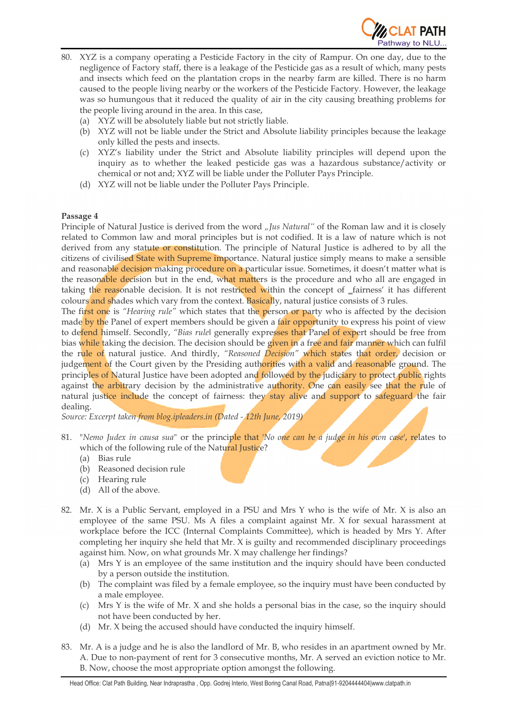

- 80. XYZ is a company operating a Pesticide Factory in the city of Rampur. On one day, due to the negligence of Factory staff, there is a leakage of the Pesticide gas as a result of which, many pests and insects which feed on the plantation crops in the nearby farm are killed. There is no harm caused to the people living nearby or the workers of the Pesticide Factory. However, the leakage was so humungous that it reduced the quality of air in the city causing breathing problems for the people living around in the area. In this case,
	- (a) XYZ will be absolutely liable but not strictly liable.
	- (b) XYZ will not be liable under the Strict and Absolute liability principles because the leakage only killed the pests and insects.
	- (c) XYZ's liability under the Strict and Absolute liability principles will depend upon the inquiry as to whether the leaked pesticide gas was a hazardous substance/activity or chemical or not and; XYZ will be liable under the Polluter Pays Principle.
	- (d) XYZ will not be liable under the Polluter Pays Principle.

Principle of Natural Justice is derived from the word *"Jus Natural"* of the Roman law and it is closely related to Common law and moral principles but is not codified. It is a law of nature which is not derived from any statute or constitution. The principle of Natural Justice is adhered to by all the citizens of civilised State with Supreme importance. Natural justice simply means to make a sensible and reasonable decision making procedure on a particular issue. Sometimes, it doesn't matter what is the reasonable decision but in the end, what matters is the procedure and who all are engaged in taking the reasonable decision. It is not restricted within the concept of fairness' it has different colours and shades which vary from the context. Basically, natural justice consists of 3 rules.

The first one is *"Hearing rule"* which states that the person or party who is affected by the decision made by the Panel of expert members should be given a fair opportunity to express his point of view to defend himself. Secondly, *"Bias rule*‖ generally expresses that Panel of expert should be free from bias while taking the decision. The decision should be given in a free and fair manner which can fulfil the rule of natural justice. And thirdly, *"Reasoned Decision"* which states that order, decision or judgement of the Court given by the Presiding authorities with a valid and reasonable ground. The principles of Natural Justice have been adopted and followed by the judiciary to protect public rights against the arbitrary decision by the administrative authority. One can easily see that the rule of natural justice include the concept of fairness: they stay alive and support to safeguard the fair dealing.

*Source: Excerpt taken from blog.ipleaders.in (Dated - 12th June, 2019)* 

- 81. "*Nemo Judex in causa sua*" or the principle that '*No one can be a judge in his own case*', relates to which of the following rule of the Natural Justice?
	- (a) Bias rule
	- (b) Reasoned decision rule
	- (c) Hearing rule
	- (d) All of the above.
- 82. Mr. X is a Public Servant, employed in a PSU and Mrs Y who is the wife of Mr. X is also an employee of the same PSU. Ms A files a complaint against Mr. X for sexual harassment at workplace before the ICC (Internal Complaints Committee), which is headed by Mrs Y. After completing her inquiry she held that Mr. X is guilty and recommended disciplinary proceedings against him. Now, on what grounds Mr. X may challenge her findings?
	- (a) Mrs Y is an employee of the same institution and the inquiry should have been conducted by a person outside the institution.
	- (b) The complaint was filed by a female employee, so the inquiry must have been conducted by a male employee.
	- (c) Mrs Y is the wife of Mr. X and she holds a personal bias in the case, so the inquiry should not have been conducted by her.
	- (d) Mr. X being the accused should have conducted the inquiry himself.
- 83. Mr. A is a judge and he is also the landlord of Mr. B, who resides in an apartment owned by Mr. A. Due to non-payment of rent for 3 consecutive months, Mr. A served an eviction notice to Mr. B. Now, choose the most appropriate option amongst the following.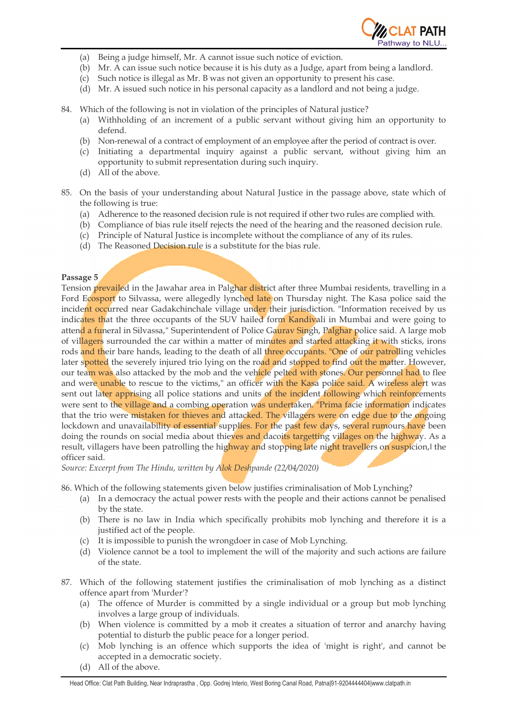

- (a) Being a judge himself, Mr. A cannot issue such notice of eviction.
- (b) Mr. A can issue such notice because it is his duty as a Judge, apart from being a landlord.
- (c) Such notice is illegal as Mr. B was not given an opportunity to present his case.
- (d) Mr. A issued such notice in his personal capacity as a landlord and not being a judge.
- 84. Which of the following is not in violation of the principles of Natural justice?
	- (a) Withholding of an increment of a public servant without giving him an opportunity to defend.
	- (b) Non-renewal of a contract of employment of an employee after the period of contract is over.
	- (c) Initiating a departmental inquiry against a public servant, without giving him an opportunity to submit representation during such inquiry.
	- (d) All of the above.
- 85. On the basis of your understanding about Natural Justice in the passage above, state which of the following is true:
	- (a) Adherence to the reasoned decision rule is not required if other two rules are complied with.
	- (b) Compliance of bias rule itself rejects the need of the hearing and the reasoned decision rule.
	- (c) Principle of Natural Justice is incomplete without the compliance of any of its rules.
	- (d) The Reasoned Decision rule is a substitute for the bias rule.

Tension **prevailed** in the Jawahar area in Palghar district after three Mumbai residents, travelling in a Ford Ecosport to Silvassa, were allegedly lynched late on Thursday night. The Kasa police said the incident occurred near Gadakchinchale village under their jurisdiction. "Information received by us indicates that the three occupants of the SUV hailed form Kandivali in Mumbai and were going to attend a funeral in Silvassa," Superintendent of Police Gaurav Singh, Palghar police said. A large mob of villagers surrounded the car within a matter of minutes and started attacking it with sticks, irons rods and their bare hands, leading to the death of all three occupants. "One of our patrolling vehicles later spotted the severely injured trio lying on the road and stopped to find out the matter. However, our team was also attacked by the mob and the vehicle pelted with stones. Our personnel had to flee and were unable to rescue to the victims," an officer with the Kasa police said. A wireless alert was sent out later apprising all police stations and units of the incident following which reinforcements were sent to the village and a combing operation was undertaken. "Prima facie information indicates that the trio were mistaken for thieves and attacked. The villagers were on edge due to the ongoing lockdown and unavailability of essential supplies. For the past few days, several rumours have been doing the rounds on social media about thieves and dacoits targetting villages on the highway. As a result, villagers have been patrolling the highway and stopping late night travellers on suspicion, the officer said.

*Source: Excerpt from The Hindu, written by Alok Deshpande (22/04/2020)* 

86. Which of the following statements given below justifies criminalisation of Mob Lynching?

- (a) In a democracy the actual power rests with the people and their actions cannot be penalised by the state.
- (b) There is no law in India which specifically prohibits mob lynching and therefore it is a justified act of the people.
- (c) It is impossible to punish the wrongdoer in case of Mob Lynching.
- (d) Violence cannot be a tool to implement the will of the majority and such actions are failure of the state.
- 87. Which of the following statement justifies the criminalisation of mob lynching as a distinct offence apart from 'Murder'?
	- (a) The offence of Murder is committed by a single individual or a group but mob lynching involves a large group of individuals.
	- (b) When violence is committed by a mob it creates a situation of terror and anarchy having potential to disturb the public peace for a longer period.
	- (c) Mob lynching is an offence which supports the idea of 'might is right', and cannot be accepted in a democratic society.
	- (d) All of the above.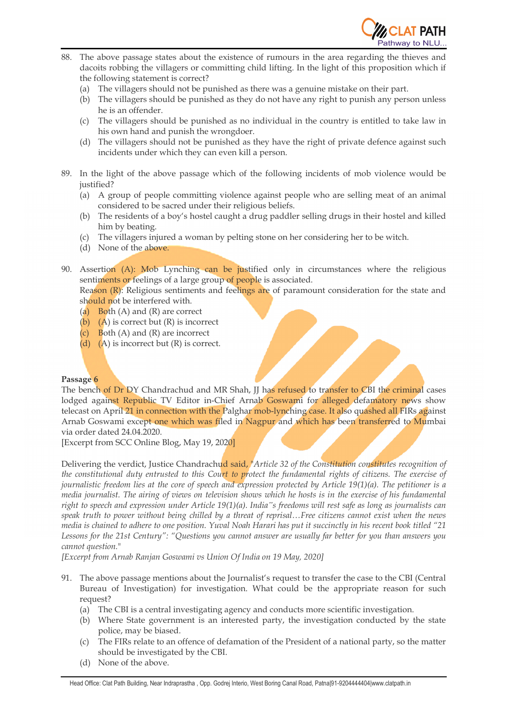

- 88. The above passage states about the existence of rumours in the area regarding the thieves and dacoits robbing the villagers or committing child lifting. In the light of this proposition which if the following statement is correct?
	- (a) The villagers should not be punished as there was a genuine mistake on their part.
	- (b) The villagers should be punished as they do not have any right to punish any person unless he is an offender.
	- (c) The villagers should be punished as no individual in the country is entitled to take law in his own hand and punish the wrongdoer.
	- (d) The villagers should not be punished as they have the right of private defence against such incidents under which they can even kill a person.
- 89. In the light of the above passage which of the following incidents of mob violence would be justified?
	- (a) A group of people committing violence against people who are selling meat of an animal considered to be sacred under their religious beliefs.
	- (b) The residents of a boy's hostel caught a drug paddler selling drugs in their hostel and killed him by beating.
	- (c) The villagers injured a woman by pelting stone on her considering her to be witch.
	- (d) None of the above.
- 90. Assertion (A): Mob Lynching can be justified only in circumstances where the religious sentiments or feelings of a large group of people is associated.

Reason  $(R)$ : Religious sentiments and feelings are of paramount consideration for the state and should not be interfered with.

- (a) Both  $(A)$  and  $(R)$  are correct
- (b)  $(A)$  is correct but  $(R)$  is incorrect
- (c) Both  $(A)$  and  $(R)$  are incorrect
- (d)  $(A)$  is incorrect but  $(R)$  is correct.

### **Passage 6**

The bench of Dr DY Chandrachud and MR Shah, II has refused to transfer to CBI the criminal cases lodged against Republic TV Editor in-Chief Arnab Goswami for alleged defamatory news show telecast on April 21 in connection with the Palghar mob-lynching case. It also quashed all FIRs against Arnab Goswami except one which was filed in Nagpur and which has been transferred to Mumbai via order dated 24.04.2020.

[Excerpt from SCC Online Blog, May 19, 2020]

Delivering the verdict, Justice Chandrachud said, "*Article 32 of the Constitution constitutes recognition of the constitutional duty entrusted to this Court to protect the fundamental rights of citizens. The exercise of journalistic freedom lies at the core of speech and expression protected by Article 19(1)(a). The petitioner is a media journalist. The airing of views on television shows which he hosts is in the exercise of his fundamental right to speech and expression under Article 19(1)(a). India"s freedoms will rest safe as long as journalists can speak truth to power without being chilled by a threat of reprisal…Free citizens cannot exist when the news media is chained to adhere to one position. Yuval Noah Harari has put it succinctly in his recent book titled "21 Lessons for the 21st Century": "Questions you cannot answer are usually far better for you than answers you cannot question.*"

*[Excerpt from Arnab Ranjan Goswami vs Union Of India on 19 May, 2020]* 

- 91. The above passage mentions about the Journalist's request to transfer the case to the CBI (Central Bureau of Investigation) for investigation. What could be the appropriate reason for such request?
	- (a) The CBI is a central investigating agency and conducts more scientific investigation.
	- (b) Where State government is an interested party, the investigation conducted by the state police, may be biased.
	- (c) The FIRs relate to an offence of defamation of the President of a national party, so the matter should be investigated by the CBI.
	- (d) None of the above.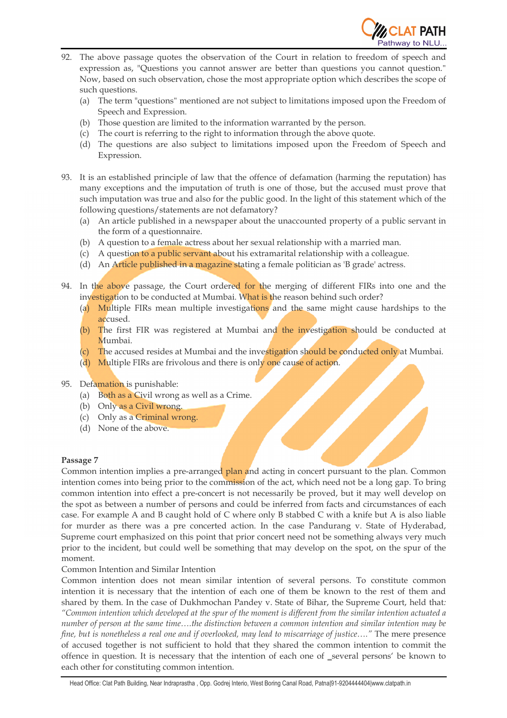

- 92. The above passage quotes the observation of the Court in relation to freedom of speech and expression as, "Questions you cannot answer are better than questions you cannot question." Now, based on such observation, chose the most appropriate option which describes the scope of such questions.
	- (a) The term "questions" mentioned are not subject to limitations imposed upon the Freedom of Speech and Expression.
	- (b) Those question are limited to the information warranted by the person.
	- (c) The court is referring to the right to information through the above quote.
	- (d) The questions are also subject to limitations imposed upon the Freedom of Speech and Expression.
- 93. It is an established principle of law that the offence of defamation (harming the reputation) has many exceptions and the imputation of truth is one of those, but the accused must prove that such imputation was true and also for the public good. In the light of this statement which of the following questions/statements are not defamatory?
	- (a) An article published in a newspaper about the unaccounted property of a public servant in the form of a questionnaire.
	- (b) A question to a female actress about her sexual relationship with a married man.
	- (c) A question to a public servant about his extramarital relationship with a colleague.
	- (d) An Article published in a magazine stating a female politician as 'B grade' actress.
- 94. In the above passage, the Court ordered for the merging of different FIRs into one and the investigation to be conducted at Mumbai. What is the reason behind such order?
	- (a) Multiple FIRs mean multiple investigations and the same might cause hardships to the accused.
	- (b) The first FIR was registered at Mumbai and the investigation should be conducted at Mumbai.
	- (c) The accused resides at Mumbai and the investigation should be conducted only at Mumbai.
	- (d) Multiple FIRs are frivolous and there is only one cause of action.
- 95. Defamation is punishable:
	- (a) Both as a Civil wrong as well as a Crime.
	- (b) Only as a Civil wrong.
	- (c) Only as a Criminal wrong.
	- (d) None of the above.

Common intention implies a pre-arranged plan and acting in concert pursuant to the plan. Common intention comes into being prior to the commission of the act, which need not be a long gap. To bring common intention into effect a pre-concert is not necessarily be proved, but it may well develop on the spot as between a number of persons and could be inferred from facts and circumstances of each case. For example A and B caught hold of C where only B stabbed C with a knife but A is also liable for murder as there was a pre concerted action. In the case Pandurang v. State of Hyderabad, Supreme court emphasized on this point that prior concert need not be something always very much prior to the incident, but could well be something that may develop on the spot, on the spur of the moment.

Common Intention and Similar Intention

Common intention does not mean similar intention of several persons. To constitute common intention it is necessary that the intention of each one of them be known to the rest of them and shared by them. In the case of Dukhmochan Pandey v. State of Bihar, the Supreme Court, held that*: "Common intention which developed at the spur of the moment is different from the similar intention actuated a number of person at the same time….the distinction between a common intention and similar intention may be fine, but is nonetheless a real one and if overlooked, may lead to miscarriage of justice....*" The mere presence of accused together is not sufficient to hold that they shared the common intention to commit the offence in question. It is necessary that the intention of each one of \_several persons' be known to each other for constituting common intention.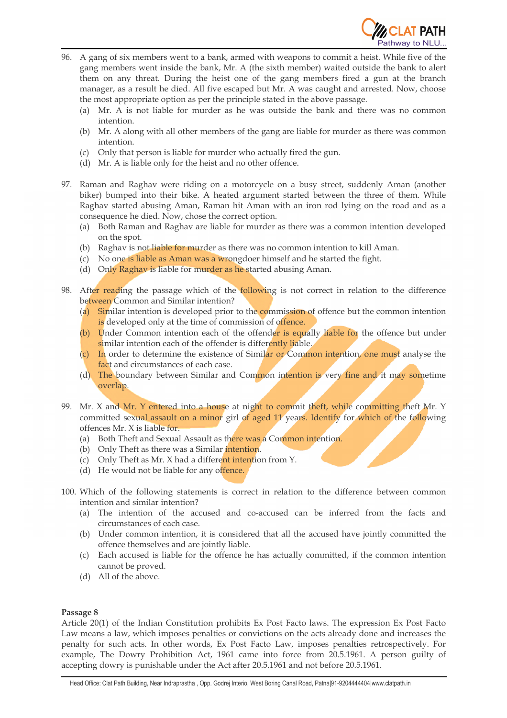

- 96. A gang of six members went to a bank, armed with weapons to commit a heist. While five of the gang members went inside the bank, Mr. A (the sixth member) waited outside the bank to alert them on any threat. During the heist one of the gang members fired a gun at the branch manager, as a result he died. All five escaped but Mr. A was caught and arrested. Now, choose the most appropriate option as per the principle stated in the above passage.
	- (a) Mr. A is not liable for murder as he was outside the bank and there was no common intention.
	- (b) Mr. A along with all other members of the gang are liable for murder as there was common intention.
	- (c) Only that person is liable for murder who actually fired the gun.
	- (d) Mr. A is liable only for the heist and no other offence.
- 97. Raman and Raghav were riding on a motorcycle on a busy street, suddenly Aman (another biker) bumped into their bike. A heated argument started between the three of them. While Raghav started abusing Aman, Raman hit Aman with an iron rod lying on the road and as a consequence he died. Now, chose the correct option.
	- (a) Both Raman and Raghav are liable for murder as there was a common intention developed on the spot.
	- (b) Raghav is not liable for murder as there was no common intention to kill Aman.
	- (c) No one is liable as Aman was a wrongdoer himself and he started the fight.
	- (d) Only Raghav is liable for murder as he started abusing Aman.
- 98. After reading the passage which of the following is not correct in relation to the difference between Common and Similar intention?
	- (a) Similar intention is developed prior to the commission of offence but the common intention is developed only at the time of commission of offence.
	- (b) Under Common intention each of the offender is equally liable for the offence but under similar intention each of the offender is differently liable.
	- (c) In order to determine the existence of Similar or Common intention, one must analyse the fact and circumstances of each case.
	- (d) The boundary between Similar and Common intention is very fine and it may sometime overlap.
- 99. Mr. X and Mr. Y entered into a house at night to commit theft, while committing theft Mr. Y committed sexual assault on a minor girl of aged 11 years. Identify for which of the following offences Mr. X is liable for.
	- (a) Both Theft and Sexual Assault as there was a Common intention.
	- (b) Only Theft as there was a Similar intention.
	- (c) Only Theft as Mr. X had a different intention from Y.
	- (d) He would not be liable for any offence.
- 100. Which of the following statements is correct in relation to the difference between common intention and similar intention?
	- (a) The intention of the accused and co-accused can be inferred from the facts and circumstances of each case.
	- (b) Under common intention, it is considered that all the accused have jointly committed the offence themselves and are jointly liable.
	- (c) Each accused is liable for the offence he has actually committed, if the common intention cannot be proved.
	- (d) All of the above.

Article 20(1) of the Indian Constitution prohibits Ex Post Facto laws. The expression Ex Post Facto Law means a law, which imposes penalties or convictions on the acts already done and increases the penalty for such acts. In other words, Ex Post Facto Law, imposes penalties retrospectively. For example, The Dowry Prohibition Act, 1961 came into force from 20.5.1961. A person guilty of accepting dowry is punishable under the Act after 20.5.1961 and not before 20.5.1961.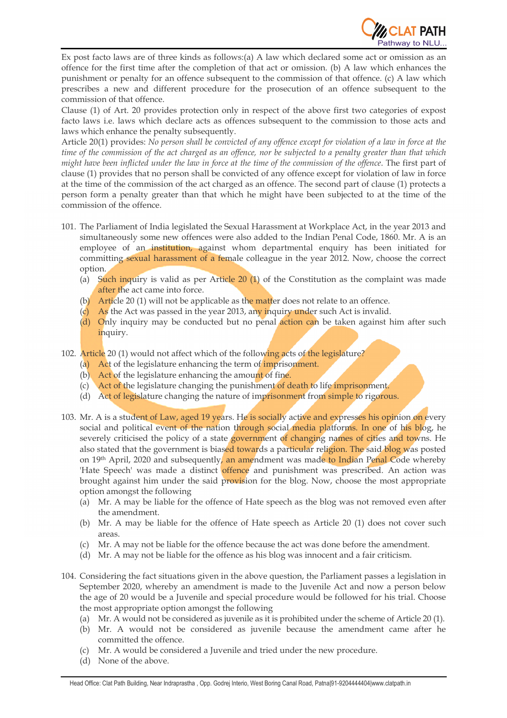

Ex post facto laws are of three kinds as follows:(a) A law which declared some act or omission as an offence for the first time after the completion of that act or omission. (b) A law which enhances the punishment or penalty for an offence subsequent to the commission of that offence. (c) A law which prescribes a new and different procedure for the prosecution of an offence subsequent to the commission of that offence.

Clause (1) of Art. 20 provides protection only in respect of the above first two categories of expost facto laws i.e. laws which declare acts as offences subsequent to the commission to those acts and laws which enhance the penalty subsequently.

Article 20(1) provides: *No person shall be convicted of any offence except for violation of a law in force at the time of the commission of the act charged as an offence, nor be subjected to a penalty greater than that which might have been inflicted under the law in force at the time of the commission of the offence*. The first part of clause (1) provides that no person shall be convicted of any offence except for violation of law in force at the time of the commission of the act charged as an offence. The second part of clause (1) protects a person form a penalty greater than that which he might have been subjected to at the time of the commission of the offence.

- 101. The Parliament of India legislated the Sexual Harassment at Workplace Act, in the year 2013 and simultaneously some new offences were also added to the Indian Penal Code, 1860. Mr. A is an employee of an institution, against whom departmental enquiry has been initiated for committing sexual harassment of a female colleague in the year 2012. Now, choose the correct option.
	- (a) Such inquiry is valid as per Article 20 (1) of the Constitution as the complaint was made after the act came into force.
	- (b) Article 20 (1) will not be applicable as the matter does not relate to an offence.
	- (c) As the Act was passed in the year 2013, any inquiry under such Act is invalid.
	- (d) Only inquiry may be conducted but no penal action can be taken against him after such inquiry.
- 102. Article 20 (1) would not affect which of the following acts of the legislature?
	- (a) Act of the legislature enhancing the term of imprisonment.
	- (b) Act of the legislature enhancing the amount of fine.
	- (c) Act of the legislature changing the punishment of death to life imprisonment.
	- (d) Act of legislature changing the nature of imprisonment from simple to rigorous.
- 103. Mr. A is a student of Law, aged 19 years. He is socially active and expresses his opinion on every social and political event of the nation through social media platforms. In one of his blog, he severely criticised the policy of a state government of changing names of cities and towns. He also stated that the government is biased towards a particular religion. The said blog was posted on 19<sup>th</sup> April, 2020 and subsequently, an amendment was made to Indian Penal Code whereby 'Hate Speech' was made a distinct offence and punishment was prescribed. An action was brought against him under the said provision for the blog. Now, choose the most appropriate option amongst the following
	- (a) Mr. A may be liable for the offence of Hate speech as the blog was not removed even after the amendment.
	- (b) Mr. A may be liable for the offence of Hate speech as Article 20 (1) does not cover such areas.
	- (c) Mr. A may not be liable for the offence because the act was done before the amendment.
	- (d) Mr. A may not be liable for the offence as his blog was innocent and a fair criticism.
- 104. Considering the fact situations given in the above question, the Parliament passes a legislation in September 2020, whereby an amendment is made to the Juvenile Act and now a person below the age of 20 would be a Juvenile and special procedure would be followed for his trial. Choose the most appropriate option amongst the following
	- (a) Mr. A would not be considered as juvenile as it is prohibited under the scheme of Article 20 (1).
	- (b) Mr. A would not be considered as juvenile because the amendment came after he committed the offence.
	- (c) Mr. A would be considered a Juvenile and tried under the new procedure.
	- (d) None of the above.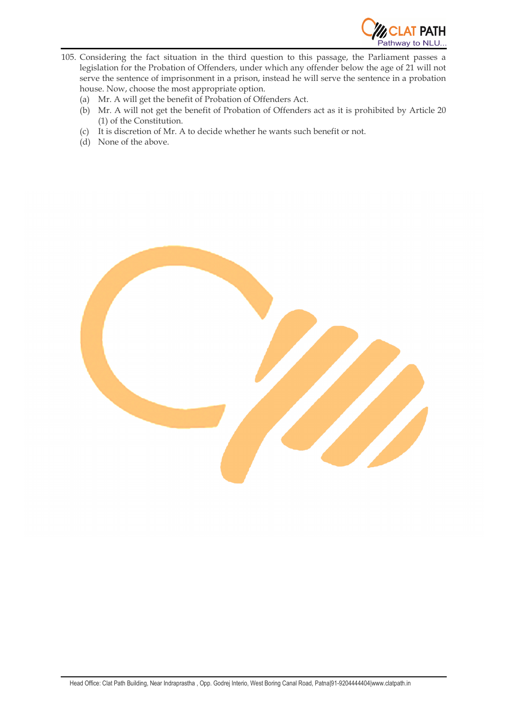

- 105. Considering the fact situation in the third question to this passage, the Parliament passes a legislation for the Probation of Offenders, under which any offender below the age of 21 will not serve the sentence of imprisonment in a prison, instead he will serve the sentence in a probation house. Now, choose the most appropriate option.
	- (a) Mr. A will get the benefit of Probation of Offenders Act.
	- (b) Mr. A will not get the benefit of Probation of Offenders act as it is prohibited by Article 20 (1) of the Constitution.
	- (c) It is discretion of Mr. A to decide whether he wants such benefit or not.
	- (d) None of the above.

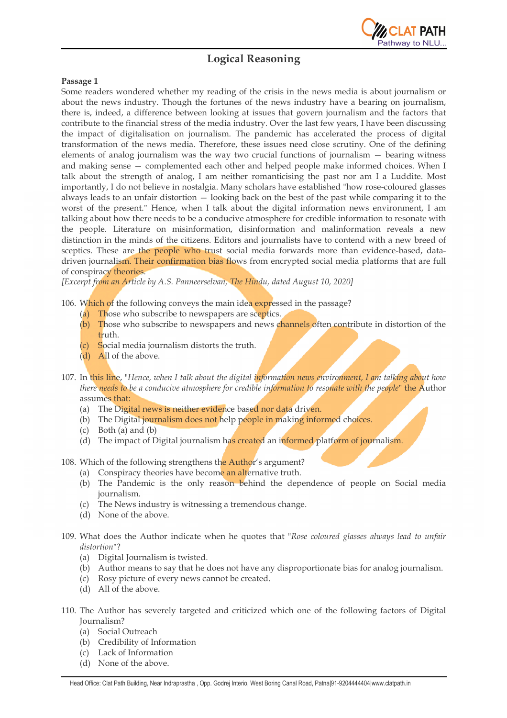# **Logical Reasoning**

### **Passage 1**

Some readers wondered whether my reading of the crisis in the news media is about journalism or about the news industry. Though the fortunes of the news industry have a bearing on journalism, there is, indeed, a difference between looking at issues that govern journalism and the factors that contribute to the financial stress of the media industry. Over the last few years, I have been discussing the impact of digitalisation on journalism. The pandemic has accelerated the process of digital transformation of the news media. Therefore, these issues need close scrutiny. One of the defining elements of analog journalism was the way two crucial functions of journalism — bearing witness and making sense — complemented each other and helped people make informed choices. When I talk about the strength of analog, I am neither romanticising the past nor am I a Luddite. Most importantly, I do not believe in nostalgia. Many scholars have established "how rose-coloured glasses always leads to an unfair distortion — looking back on the best of the past while comparing it to the worst of the present." Hence, when I talk about the digital information news environment, I am talking about how there needs to be a conducive atmosphere for credible information to resonate with the people. Literature on misinformation, disinformation and malinformation reveals a new distinction in the minds of the citizens. Editors and journalists have to contend with a new breed of sceptics. These are the people who trust social media forwards more than evidence-based, datadriven journalism. Their confirmation bias flows from encrypted social media platforms that are full of conspiracy theories.

*[Excerpt from an Article by A.S. Panneerselvan, The Hindu, dated August 10, 2020]* 

106. Which of the following conveys the main idea expressed in the passage?

- (a) Those who subscribe to newspapers are sceptics.
- (b) Those who subscribe to newspapers and news channels often contribute in distortion of the truth.
- (c) Social media journalism distorts the truth.
- (d) All of the above.
- 107. In this line, "*Hence, when I talk about the digital information news environment, I am talking about how there needs to be a conducive atmosphere for credible information to resonate with the people*" the Author assumes that:
	- (a) The Digital news is neither evidence based nor data driven.
	- (b) The Digital journalism does not help people in making informed choices.
	- $(c)$  Both  $(a)$  and  $(b)$
	- (d) The impact of Digital journalism has created an informed platform of journalism.
- 108. Which of the following strengthens the Author's argument?
	- (a) Conspiracy theories have become an alternative truth.
		- (b) The Pandemic is the only reason behind the dependence of people on Social media journalism.
		- (c) The News industry is witnessing a tremendous change.
		- (d) None of the above.
- 109. What does the Author indicate when he quotes that "*Rose coloured glasses always lead to unfair distortion*"?
	- (a) Digital Journalism is twisted.
	- (b) Author means to say that he does not have any disproportionate bias for analog journalism.
	- (c) Rosy picture of every news cannot be created.
	- (d) All of the above.
- 110. The Author has severely targeted and criticized which one of the following factors of Digital Journalism?
	- (a) Social Outreach
	- (b) Credibility of Information
	- (c) Lack of Information
	- (d) None of the above.

Head Office: Clat Path Building, Near Indraprastha , Opp. Godrej Interio, West Boring Canal Road, Patna|91-9204444404|www.clatpath.in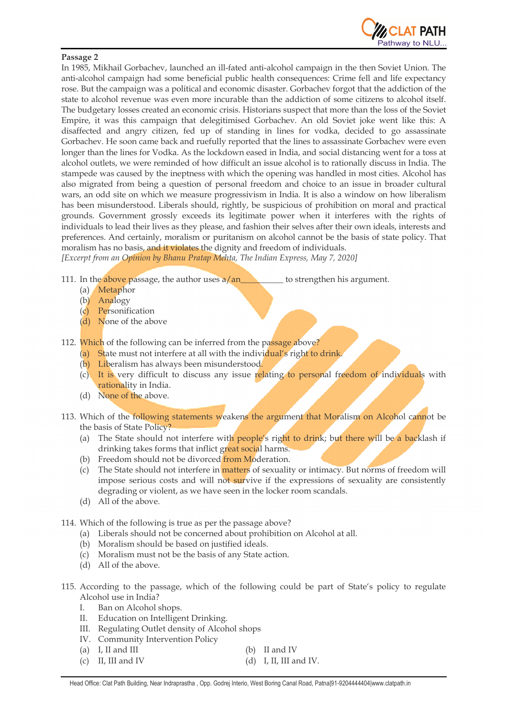

In 1985, Mikhail Gorbachev, launched an ill-fated anti-alcohol campaign in the then Soviet Union. The anti-alcohol campaign had some beneficial public health consequences: Crime fell and life expectancy rose. But the campaign was a political and economic disaster. Gorbachev forgot that the addiction of the state to alcohol revenue was even more incurable than the addiction of some citizens to alcohol itself. The budgetary losses created an economic crisis. Historians suspect that more than the loss of the Soviet Empire, it was this campaign that delegitimised Gorbachev. An old Soviet joke went like this: A disaffected and angry citizen, fed up of standing in lines for vodka, decided to go assassinate Gorbachev. He soon came back and ruefully reported that the lines to assassinate Gorbachev were even longer than the lines for Vodka. As the lockdown eased in India, and social distancing went for a toss at alcohol outlets, we were reminded of how difficult an issue alcohol is to rationally discuss in India. The stampede was caused by the ineptness with which the opening was handled in most cities. Alcohol has also migrated from being a question of personal freedom and choice to an issue in broader cultural wars, an odd site on which we measure progressivism in India. It is also a window on how liberalism has been misunderstood. Liberals should, rightly, be suspicious of prohibition on moral and practical grounds. Government grossly exceeds its legitimate power when it interferes with the rights of individuals to lead their lives as they please, and fashion their selves after their own ideals, interests and preferences. And certainly, moralism or puritanism on alcohol cannot be the basis of state policy. That moralism has no basis, and it violates the dignity and freedom of individuals.

*[Excerpt from an Opinion by Bhanu Pratap Mehta, The Indian Express, May 7, 2020]* 

- 111. In the above passage, the author uses  $a/an$  to strengthen his argument.
	- (a) Metaphor
	- (b) Analogy
	- (c) Personification
	- (d) None of the above
- 112. Which of the following can be inferred from the passage above?
	- (a) State must not interfere at all with the individual's right to drink.
	- (b) Liberalism has always been misunderstood.
	- (c) It is very difficult to discuss any issue relating to personal freedom of individuals with rationality in India.
	- (d) None of the above.
- 113. Which of the following statements weakens the argument that Moralism on Alcohol cannot be the basis of State Policy?
	- (a) The State should not interfere with people's right to drink; but there will be a backlash if drinking takes forms that inflict great social harms.
	- (b) Freedom should not be divorced from Moderation.
	- (c) The State should not interfere in matters of sexuality or intimacy. But norms of freedom will impose serious costs and will not survive if the expressions of sexuality are consistently degrading or violent, as we have seen in the locker room scandals.
	- (d) All of the above.
- 114. Which of the following is true as per the passage above?
	- (a) Liberals should not be concerned about prohibition on Alcohol at all.
	- (b) Moralism should be based on justified ideals.
	- (c) Moralism must not be the basis of any State action.
	- (d) All of the above.
- 115. According to the passage, which of the following could be part of State's policy to regulate Alcohol use in India?
	- I. Ban on Alcohol shops.
	- II. Education on Intelligent Drinking.
	- III. Regulating Outlet density of Alcohol shops
	- IV. Community Intervention Policy
	- (a) I, II and III (b) II and IV
	- (c) II, III and IV  $(d)$  I, II, III and IV.

Head Office: Clat Path Building, Near Indraprastha , Opp. Godrej Interio, West Boring Canal Road, Patna|91-9204444404|www.clatpath.in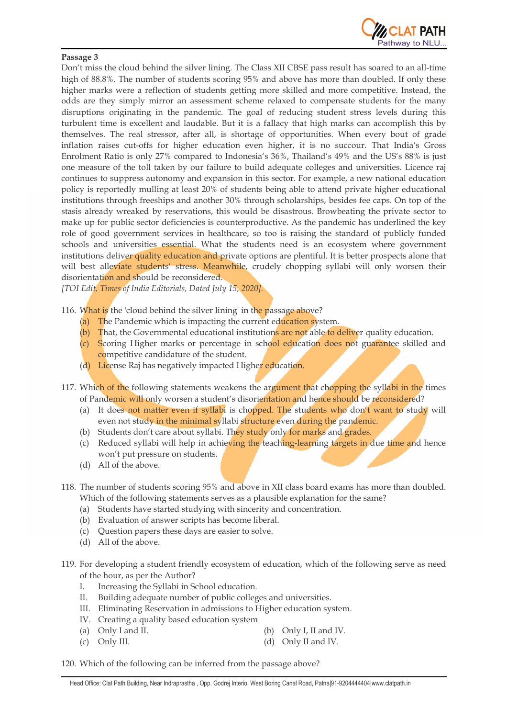

Don't miss the cloud behind the silver lining. The Class XII CBSE pass result has soared to an all-time high of 88.8%. The number of students scoring 95% and above has more than doubled. If only these higher marks were a reflection of students getting more skilled and more competitive. Instead, the odds are they simply mirror an assessment scheme relaxed to compensate students for the many disruptions originating in the pandemic. The goal of reducing student stress levels during this turbulent time is excellent and laudable. But it is a fallacy that high marks can accomplish this by themselves. The real stressor, after all, is shortage of opportunities. When every bout of grade inflation raises cut-offs for higher education even higher, it is no succour. That India's Gross Enrolment Ratio is only 27% compared to Indonesia's 36%, Thailand's 49% and the US's 88% is just one measure of the toll taken by our failure to build adequate colleges and universities. Licence raj continues to suppress autonomy and expansion in this sector. For example, a new national education policy is reportedly mulling at least 20% of students being able to attend private higher educational institutions through freeships and another 30% through scholarships, besides fee caps. On top of the stasis already wreaked by reservations, this would be disastrous. Browbeating the private sector to make up for public sector deficiencies is counterproductive. As the pandemic has underlined the key role of good government services in healthcare, so too is raising the standard of publicly funded schools and universities essential. What the students need is an ecosystem where government institutions deliver quality education and private options are plentiful. It is better prospects alone that will best alleviate students' stress. Meanwhile, crudely chopping syllabi will only worsen their disorientation and should be reconsidered.

*[TOI Edit, Times of India Editorials, Dated July 15, 2020].* 

- 116. What is the 'cloud behind the silver lining' in the passage above?
	- (a) The Pandemic which is impacting the current education system.
	- (b) That, the Governmental educational institutions are not able to deliver quality education.
	- (c) Scoring Higher marks or percentage in school education does not guarantee skilled and competitive candidature of the student.
	- (d) License Raj has negatively impacted Higher education.
- 117. Which of the following statements weakens the argument that chopping the syllabi in the times of Pandemic will only worsen a student's disorientation and hence should be reconsidered?
	- (a) It does not matter even if syllabi is chopped. The students who don't want to study will even not study in the minimal syllabi structure even during the pandemic.
	- (b) Students don't care about syllabi. They study only for marks and grades.
	- (c) Reduced syllabi will help in achieving the teaching-learning targets in due time and hence won't put pressure on students.
	- (d) All of the above.
- 118. The number of students scoring 95% and above in XII class board exams has more than doubled. Which of the following statements serves as a plausible explanation for the same?
	- (a) Students have started studying with sincerity and concentration.
	- (b) Evaluation of answer scripts has become liberal.
	- (c) Question papers these days are easier to solve.
	- (d) All of the above.
- 119. For developing a student friendly ecosystem of education, which of the following serve as need of the hour, as per the Author?
	- I. Increasing the Syllabi in School education.
	- II. Building adequate number of public colleges and universities.
	- III. Eliminating Reservation in admissions to Higher education system.
	- IV. Creating a quality based education system
	- (a) Only I and II. (b) Only I, II and IV.
	-
- 
- (c) Only III. (d) Only II and IV.
- 120. Which of the following can be inferred from the passage above?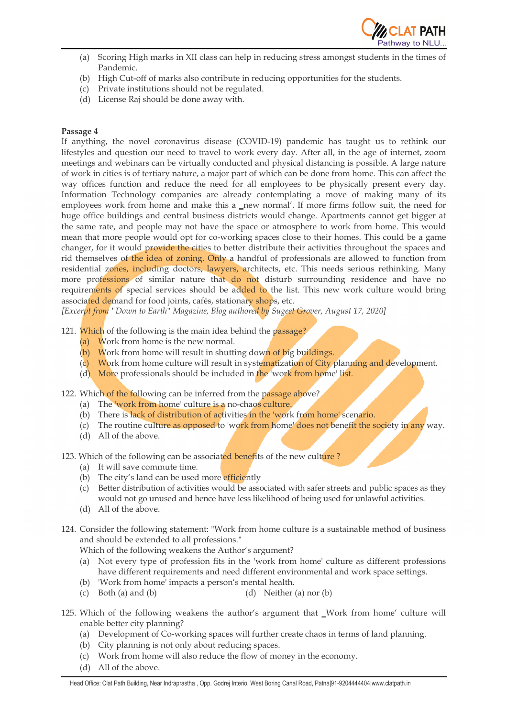

- (a) Scoring High marks in XII class can help in reducing stress amongst students in the times of Pandemic.
- (b) High Cut-off of marks also contribute in reducing opportunities for the students.
- (c) Private institutions should not be regulated.
- (d) License Raj should be done away with.

If anything, the novel coronavirus disease (COVID-19) pandemic has taught us to rethink our lifestyles and question our need to travel to work every day. After all, in the age of internet, zoom meetings and webinars can be virtually conducted and physical distancing is possible. A large nature of work in cities is of tertiary nature, a major part of which can be done from home. This can affect the way offices function and reduce the need for all employees to be physically present every day. Information Technology companies are already contemplating a move of making many of its employees work from home and make this a \_new normal'. If more firms follow suit, the need for huge office buildings and central business districts would change. Apartments cannot get bigger at the same rate, and people may not have the space or atmosphere to work from home. This would mean that more people would opt for co-working spaces close to their homes. This could be a game changer, for it would provide the cities to better distribute their activities throughout the spaces and rid themselves of the idea of zoning. Only a handful of professionals are allowed to function from residential zones, including doctors, lawyers, architects, etc. This needs serious rethinking. Many more professions of similar nature that do not disturb surrounding residence and have no requirements of special services should be added to the list. This new work culture would bring associated demand for food joints, cafés, stationary shops, etc.

*[Excerpt from "Down to Earth*" *Magazine, Blog authored by Sugeet Grover, August 17, 2020]* 

121. Which of the following is the main idea behind the passage?

- (a) Work from home is the new normal.
- (b) Work from home will result in shutting down of big buildings.
- (c) Work from home culture will result in systematization of City planning and development.
- (d) More professionals should be included in the 'work from home' list.

122. Which of the following can be inferred from the passage above?

- (a) The 'work from home' culture is a no-chaos culture.
- (b) There is lack of distribution of activities in the 'work from home' scenario.
- (c) The routine culture as opposed to 'work from home' does not benefit the society in any way.
- (d) All of the above.

123. Which of the following can be associated benefits of the new culture?

- (a) It will save commute time.
- (b) The city's land can be used more efficiently
- (c) Better distribution of activities would be associated with safer streets and public spaces as they would not go unused and hence have less likelihood of being used for unlawful activities.
- (d) All of the above.

124. Consider the following statement: "Work from home culture is a sustainable method of business and should be extended to all professions."

Which of the following weakens the Author's argument?

- (a) Not every type of profession fits in the 'work from home' culture as different professions have different requirements and need different environmental and work space settings.
- (b) 'Work from home' impacts a person's mental health.
- (c) Both (a) and (b)  $(d)$  Neither (a) nor (b)
- 125. Which of the following weakens the author's argument that \_Work from home' culture will enable better city planning?
	- (a) Development of Co-working spaces will further create chaos in terms of land planning.
	- (b) City planning is not only about reducing spaces.
	- (c) Work from home will also reduce the flow of money in the economy.
	- (d) All of the above.

Head Office: Clat Path Building, Near Indraprastha , Opp. Godrej Interio, West Boring Canal Road, Patna|91-9204444404|www.clatpath.in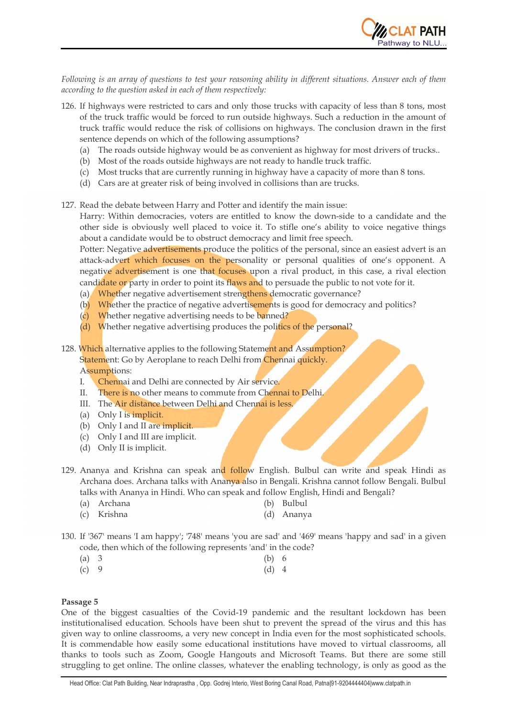

*Following is an array of questions to test your reasoning ability in different situations. Answer each of them according to the question asked in each of them respectively:* 

- 126. If highways were restricted to cars and only those trucks with capacity of less than 8 tons, most of the truck traffic would be forced to run outside highways. Such a reduction in the amount of truck traffic would reduce the risk of collisions on highways. The conclusion drawn in the first sentence depends on which of the following assumptions?
	- (a) The roads outside highway would be as convenient as highway for most drivers of trucks..
	- (b) Most of the roads outside highways are not ready to handle truck traffic.
	- (c) Most trucks that are currently running in highway have a capacity of more than 8 tons.
	- (d) Cars are at greater risk of being involved in collisions than are trucks.
- 127. Read the debate between Harry and Potter and identify the main issue:

Harry: Within democracies, voters are entitled to know the down-side to a candidate and the other side is obviously well placed to voice it. To stifle one's ability to voice negative things about a candidate would be to obstruct democracy and limit free speech.

Potter: Negative advertisements produce the politics of the personal, since an easiest advert is an attack-advert which focuses on the personality or personal qualities of one's opponent. A negative advertisement is one that focuses upon a rival product, in this case, a rival election candidate or party in order to point its flaws and to persuade the public to not vote for it.

- (a) Whether negative advertisement strengthens democratic governance?
- (b) Whether the practice of negative advertisements is good for democracy and politics?
- (c) Whether negative advertising needs to be banned?
- (d) Whether negative advertising produces the politics of the personal?
- 128. Which alternative applies to the following Statement and Assumption? Statement: Go by Aeroplane to reach Delhi from Chennai quickly. Assumptions:
	- I. Chennai and Delhi are connected by Air service.
	- II. There is no other means to commute from Chennai to Delhi.
	- III. The Air distance between Delhi and Chennai is less.
	- (a) Only I is implicit.
	- (b) Only I and II are implicit.
	- (c) Only I and III are implicit.
	- (d) Only II is implicit.
- 129. Ananya and Krishna can speak and follow English. Bulbul can write and speak Hindi as Archana does. Archana talks with Ananya also in Bengali. Krishna cannot follow Bengali. Bulbul talks with Ananya in Hindi. Who can speak and follow English, Hindi and Bengali?
	- (a) Archana (b) Bulbul
	- (c) Krishna (d) Ananya
- 130. If '367' means 'I am happy'; '748' means 'you are sad' and '469' means 'happy and sad' in a given code, then which of the following represents 'and' in the code?
	- (a) 3 (b) 6
	- (c) 9 (d) 4

#### **Passage 5**

One of the biggest casualties of the Covid-19 pandemic and the resultant lockdown has been institutionalised education. Schools have been shut to prevent the spread of the virus and this has given way to online classrooms, a very new concept in India even for the most sophisticated schools. It is commendable how easily some educational institutions have moved to virtual classrooms, all thanks to tools such as Zoom, Google Hangouts and Microsoft Teams. But there are some still struggling to get online. The online classes, whatever the enabling technology, is only as good as the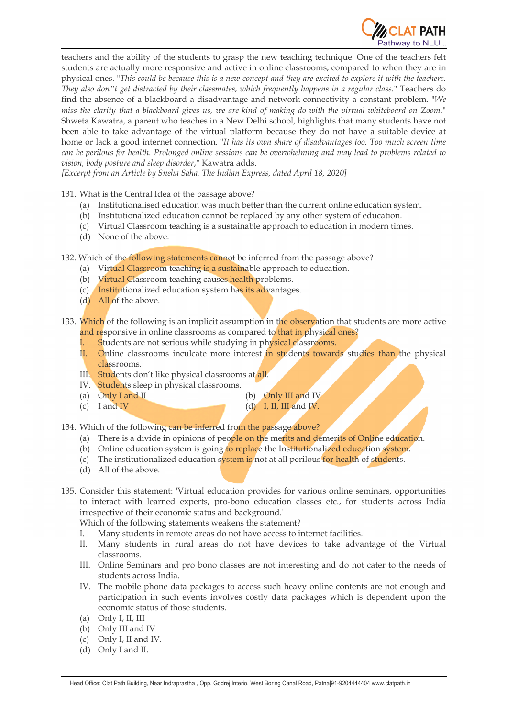

teachers and the ability of the students to grasp the new teaching technique. One of the teachers felt students are actually more responsive and active in online classrooms, compared to when they are in physical ones. "*This could be because this is a new concept and they are excited to explore it with the teachers. They also don"t get distracted by their classmates, which frequently happens in a regular class*." Teachers do find the absence of a blackboard a disadvantage and network connectivity a constant problem. "*We miss the clarity that a blackboard gives us, we are kind of making do with the virtual whiteboard on Zoom*." Shweta Kawatra, a parent who teaches in a New Delhi school, highlights that many students have not been able to take advantage of the virtual platform because they do not have a suitable device at home or lack a good internet connection. "*It has its own share of disadvantages too. Too much screen time can be perilous for health. Prolonged online sessions can be overwhelming and may lead to problems related to vision, body posture and sleep disorder*," Kawatra adds.

*[Excerpt from an Article by Sneha Saha, The Indian Express, dated April 18, 2020]* 

131. What is the Central Idea of the passage above?

- (a) Institutionalised education was much better than the current online education system.
- (b) Institutionalized education cannot be replaced by any other system of education.
- (c) Virtual Classroom teaching is a sustainable approach to education in modern times.
- (d) None of the above.
- 132. Which of the following statements cannot be inferred from the passage above?
	- (a) Virtual Classroom teaching is a sustainable approach to education.
	- (b) Virtual Classroom teaching causes health problems.
	- (c) Institutionalized education system has its advantages.
	- (d) All of the above.
- 133. Which of the following is an implicit assumption in the observation that students are more active and responsive in online classrooms as compared to that in physical ones?
	- I. Students are not serious while studying in physical classrooms.
	- II. Online classrooms inculcate more interest in students towards studies than the physical classrooms.
	- III. Students don't like physical classrooms at all.
	- IV. Students sleep in physical classrooms.
	- (a) Only I and II (b) Only III and IV
	- (c) I and IV (d) I, II, III and IV.
- 134. Which of the following can be inferred from the passage above?
	- (a) There is a divide in opinions of people on the merits and demerits of Online education.
	- (b) Online education system is going to replace the Institutionalized education system.
	- (c) The institutionalized education system is not at all perilous for health of students.
	- (d) All of the above.
- 135. Consider this statement: 'Virtual education provides for various online seminars, opportunities to interact with learned experts, pro-bono education classes etc., for students across India irrespective of their economic status and background.'

Which of the following statements weakens the statement?

- I. Many students in remote areas do not have access to internet facilities.
- II. Many students in rural areas do not have devices to take advantage of the Virtual classrooms.
- III. Online Seminars and pro bono classes are not interesting and do not cater to the needs of students across India.
- IV. The mobile phone data packages to access such heavy online contents are not enough and participation in such events involves costly data packages which is dependent upon the economic status of those students.
- (a) Only I, II, III
- (b) Only III and IV
- (c) Only I, II and IV.
- (d) Only I and II.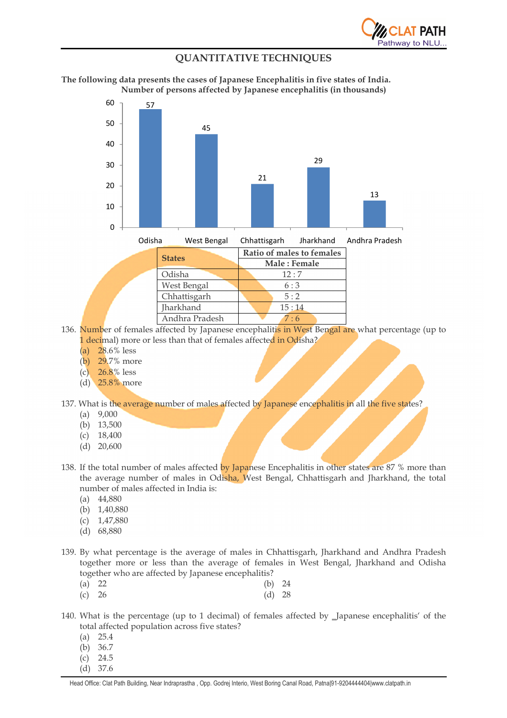## **QUANTITATIVE TECHNIQUES**

**The following data presents the cases of Japanese Encephalitis in five states of India. Number of persons affected by Japanese encephalitis (in thousands)** 



- 136. Number of females affected by Japanese encephalitis in West Bengal are what percentage (up to 1 decimal) more or less than that of females affected in Odisha?
	- (a) 28.6% less
	- (b) 29.7% more
	- (c) 26.8% less
	- (d) 25.8% more

137. What is the average number of males affected by Japanese encephalitis in all the five states?

- (a) 9,000
- (b) 13,500
- (c) 18,400
- (d) 20,600
- 138. If the total number of males affected by Japanese Encephalitis in other states are 87 % more than the average number of males in Odisha, West Bengal, Chhattisgarh and Jharkhand, the total number of males affected in India is:
	- (a) 44,880
	- (b) 1,40,880
	- (c) 1,47,880
	- (d) 68,880
- 139. By what percentage is the average of males in Chhattisgarh, Jharkhand and Andhra Pradesh together more or less than the average of females in West Bengal, Jharkhand and Odisha together who are affected by Japanese encephalitis?
	- (a) 22 (b) 24
	- (c) 26 (d) 28
- 140. What is the percentage (up to 1 decimal) of females affected by Japanese encephalitis' of the total affected population across five states?
	- (a) 25.4
	- (b) 36.7
	- (c) 24.5
	- (d) 37.6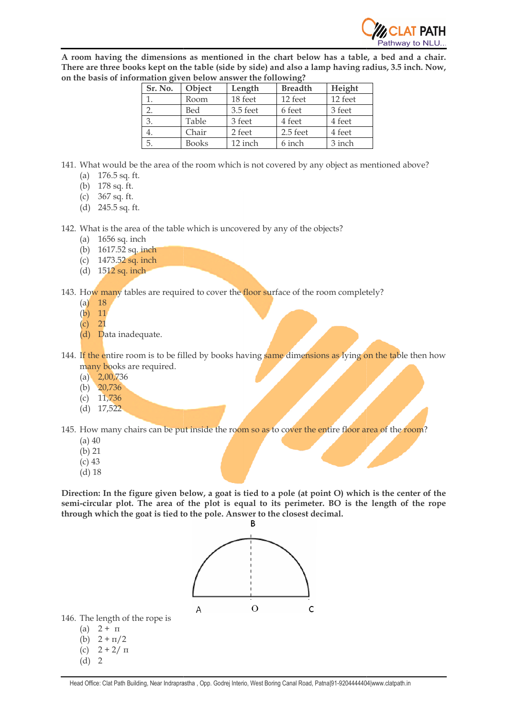

**A room having the dimensions as mentioned in the chart below has a table, a bed and a chair. There are three books kept on the table (side by side) and also a lamp having radius, 3.5 inch. Now, on the basis of information given below answer the following?** 

| Sr. No. | Object       | Length   | <b>Breadth</b> | Height  |  |  |  |  |  |  |  |
|---------|--------------|----------|----------------|---------|--|--|--|--|--|--|--|
|         | Room         | 18 feet  | 12 feet        | 12 feet |  |  |  |  |  |  |  |
|         | Bed          | 3.5 feet | 6 feet         | 3 feet  |  |  |  |  |  |  |  |
| 3.      | Table        | 3 feet   | 4 feet         | 4 feet  |  |  |  |  |  |  |  |
| 4.      | Chair        | 2 feet   | 2.5 feet       | 4 feet  |  |  |  |  |  |  |  |
| 5.      | <b>Books</b> | 12 inch  | 6 inch         | 3 inch  |  |  |  |  |  |  |  |

- 141. What would be the area of the room which is not covered by any object as mentioned above? (a) 176.5 sq. ft.
	- (b) 178 sq. ft.
	- (c) 367 sq. ft.
	- (d) 245.5 sq. ft.

142. What is the area of the table which is uncovered by any of the objects?

- (a) 1656 sq. inch
- (b) 1617.52 sq. inch
- (c) 1473.52 sq. inch
- (d) 1512 sq. inch

143. How many tables are required to cover the floor surface of the room completely?

- $(a) 18$
- (b) 11
- $(c)$  21
- (d) Data inadequate.
- 144. If the entire room is to be filled by books having same dimensions as lying on the table then how many books are required.
	- $(a)$  2,00,736
	- $(b) 20,736$
	- (c) 11,736
	- (d) 17,522

145. How many chairs can be put inside the room so as to cover the entire floor area of the room?  $(a)$  40

- (b) 21
- (c) 43
- (d) 18

**Direction: In the figure given below, a goat is tied to a pole (at point O) which is the center of the semi-circular plot. The area of the plot is equal to its perimeter. BO is the length of the rope**  semi-circular plot. The area of the plot is equal to its perimeter. BO **the indept**<br>through which the goat is tied to the pole. Answer to the closest decimal.



146. The length of the rope is

- (a)  $2 + \pi$
- (b)  $2 + \pi/2$
- (c)  $2 + 2/\pi$
- (d) 2
- Head Office: Clat Path Building, Near Indraprastha , Opp. Godrej Interio, West Boring Canal Road, Patna|91-9204444404|www.clatpath.in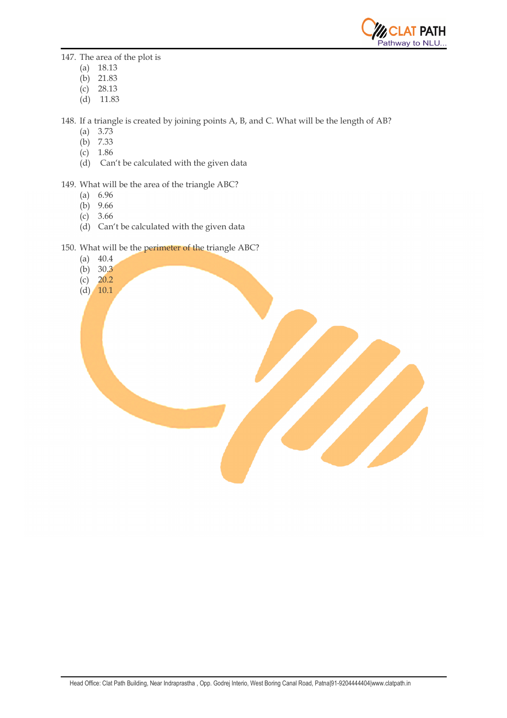

147. The area of the plot is

- (a) 18.13
- (b) 21.83
- (c) 28.13
- (d) 11.83

148. If a triangle is created by joining points A, B, and C. What will be the length of AB?

- (a) 3.73
- (b) 7.33
- (c) 1.86
- (d) Can't be calculated with the given data

## 149. What will be the area of the triangle ABC?

- (a) 6.96
- (b) 9.66
- (c) 3.66
- (d) Can't be calculated with the given data

### 150. What will be the perimeter of the triangle ABC?

 $(a)$  40.4